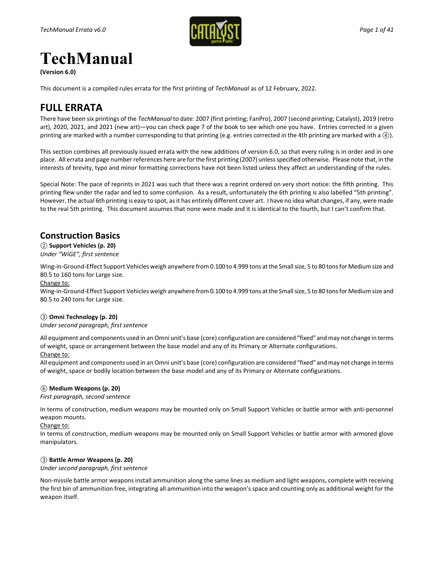

# **TechManual**

**(Version 6.0)**

This document is a compiled rules errata for the first printing of *TechManual* as of 12 February, 2022.

## **FULL ERRATA**

There have been six printings of the *TechManual* to date: 2007 (first printing; FanPro), 2007 (second printing; Catalyst), 2019 (retro art), 2020, 2021, and 2021 (new art)—you can check page 7 of the book to see which one you have. Entries corrected in a given printing are marked with a number corresponding to that printing (e.g. entries corrected in the 4th printing are marked with a *④*).

This section combines all previously issued errata with the new additions of version 6.0, so that every ruling is in order and in one place. All errata and page number references here are for the first printing (2007) unless specified otherwise. Please note that, in the interests of brevity, typo and minor formatting corrections have not been listed unless they affect an understanding of the rules.

Special Note: The pace of reprints in 2021 was such that there was a reprint ordered on very short notice: the fifth printing. This printing flew under the radar and led to some confusion. As a result, unfortunately the 6th printing is also labelled "5th printing". However, the actual 6th printing is easy to spot, as it has entirely different cover art. I have no idea what changes, if any, were made to the real 5th printing. This document assumes that none were made and it is identical to the fourth, but I can't confirm that.

### **Construction Basics**

*②* **Support Vehicles (p. 20)** *Under "WiGE", first sentence*

Wing-in-Ground-Effect Support Vehicles weigh anywhere from 0.100 to 4.999 tons at the Small size, 5 to 80 tons for Medium size and 80.5 to 160 tons for Large size.

#### Change to:

Wing-in-Ground-Effect Support Vehicles weigh anywhere from 0.100 to 4.999 tons at the Small size, 5 to 80 tons for Medium size and 80.5 to 240 tons for Large size.

#### *③* **Omni Technology (p. 20)**

*Under second paragraph, first sentence*

All equipment and components used in an Omni unit's base (core) configuration are considered "fixed" and may not change in terms of weight, space or arrangement between the base model and any of its Primary or Alternate configurations.

#### Change to:

All equipment and components used in an Omni unit's base (core) configuration are considered "fixed" and may not change in terms of weight, space or bodily location between the base model and any of its Primary or Alternate configurations.

#### *⑥* **Medium Weapons (p. 20)**

*First paragraph, second sentence*

In terms of construction, medium weapons may be mounted only on Small Support Vehicles or battle armor with anti-personnel weapon mounts.

#### Change to:

In terms of construction, medium weapons may be mounted only on Small Support Vehicles or battle armor with armored glove manipulators.

### *③* **Battle Armor Weapons (p. 20)**

*Under second paragraph, first sentence*

Non-missile battle armor weapons install ammunition along the same lines as medium and light weapons, complete with receiving the first bin of ammunition free, integrating all ammunition into the weapon's space and counting only as additional weight for the weapon itself.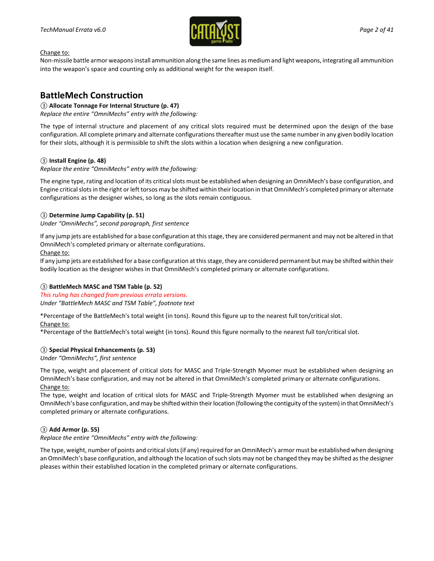

Non-missile battle armor weapons install ammunition along the same lines as medium and light weapons, integrating all ammunition into the weapon's space and counting only as additional weight for the weapon itself.

### **BattleMech Construction**

#### *③* **Allocate Tonnage For Internal Structure (p. 47)**

*Replace the entire "OmniMechs" entry with the following:*

The type of internal structure and placement of any critical slots required must be determined upon the design of the base configuration. All complete primary and alternate configurations thereafter must use the same number in any given bodily location for their slots, although it is permissible to shift the slots within a location when designing a new configuration.

#### *③* **Install Engine (p. 48)**

*Replace the entire "OmniMechs" entry with the following:*

The engine type, rating and location of its critical slots must be established when designing an OmniMech's base configuration, and Engine critical slots in the right or left torsos may be shifted within their location in that OmniMech's completed primary or alternate configurations as the designer wishes, so long as the slots remain contiguous.

#### *③* **Determine Jump Capability (p. 51)**

#### *Under "OmniMechs", second paragraph, first sentence*

If any jump jets are established for a base configuration at this stage, they are considered permanent and may not be altered in that OmniMech's completed primary or alternate configurations.

Change to:

If any jump jets are established for a base configuration at this stage, they are considered permanent but may be shifted within their bodily location as the designer wishes in that OmniMech's completed primary or alternate configurations.

#### *③* **BattleMech MASC and TSM Table (p. 52)**

*This ruling has changed from previous errata versions. Under "BattleMech MASC and TSM Table", footnote text*

\*Percentage of the BattleMech's total weight (in tons). Round this figure up to the nearest full ton/critical slot.

#### Change to:

\*Percentage of the BattleMech's total weight (in tons). Round this figure normally to the nearest full ton/critical slot.

#### *③* **Special Physical Enhancements (p. 53)**

*Under "OmniMechs", first sentence*

The type, weight and placement of critical slots for MASC and Triple-Strength Myomer must be established when designing an OmniMech's base configuration, and may not be altered in that OmniMech's completed primary or alternate configurations. Change to:

The type, weight and location of critical slots for MASC and Triple-Strength Myomer must be established when designing an OmniMech's base configuration, and may be shifted within their location (following the contiguity of the system) in that OmniMech's completed primary or alternate configurations.

#### *③* **Add Armor (p. 55)**

#### *Replace the entire "OmniMechs" entry with the following:*

The type, weight, number of points and critical slots (if any) required for an OmniMech's armor must be established when designing an OmniMech's base configuration, and although the location of such slots may not be changed they may be shifted as the designer pleases within their established location in the completed primary or alternate configurations.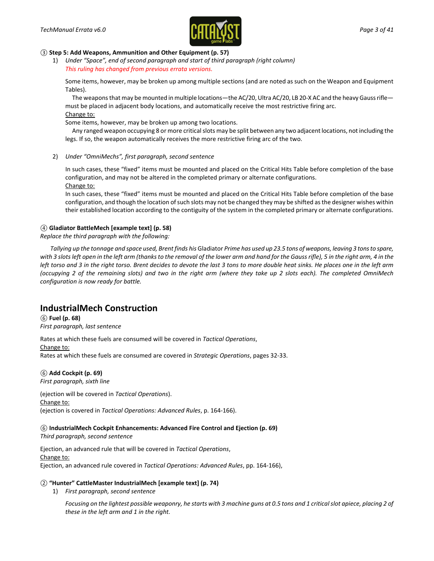

#### *③* **Step 5: Add Weapons, Ammunition and Other Equipment (p. 57)**

1) *Under "Space", end of second paragraph and start of third paragraph (right column) This ruling has changed from previous errata versions.*

Some items, however, may be broken up among multiple sections (and are noted as such on the Weapon and Equipment Tables).

The weapons that may be mounted in multiple locations—the AC/20, Ultra AC/20, LB 20-X AC and the heavy Gauss rifle must be placed in adjacent body locations, and automatically receive the most restrictive firing arc. Change to:

Some items, however, may be broken up among two locations.

Any ranged weapon occupying 8 or more critical slots may be split between any two adjacent locations, not including the legs. If so, the weapon automatically receives the more restrictive firing arc of the two.

2) *Under "OmniMechs", first paragraph, second sentence*

In such cases, these "fixed" items must be mounted and placed on the Critical Hits Table before completion of the base configuration, and may not be altered in the completed primary or alternate configurations. Change to:

In such cases, these "fixed" items must be mounted and placed on the Critical Hits Table before completion of the base configuration, and though the location of such slots may not be changed they may be shifted as the designer wishes within their established location according to the contiguity of the system in the completed primary or alternate configurations.

#### *④* **Gladiator BattleMech [example text] (p. 58)**

*Replace the third paragraph with the following:*

*Tallying up the tonnage and space used, Brent finds his* Gladiator *Prime has used up 23.5 tons of weapons, leaving 3 tons to spare,*  with 3 slots left open in the left arm (thanks to the removal of the lower arm and hand for the Gauss rifle), 5 in the right arm, 4 in the *left torso and 3 in the right torso. Brent decides to devote the last 3 tons to more double heat sinks. He places one in the left arm (occupying 2 of the remaining slots) and two in the right arm (where they take up 2 slots each). The completed OmniMech configuration is now ready for battle.*

### **IndustrialMech Construction**

*⑥* **Fuel (p. 68)** *First paragraph, last sentence*

Rates at which these fuels are consumed will be covered in *Tactical Operations*, Change to: Rates at which these fuels are consumed are covered in *Strategic Operations*, pages 32-33.

### *⑥* **Add Cockpit (p. 69)**

*First paragraph, sixth line*

(ejection will be covered in *Tactical Operations*). Change to: (ejection is covered in *Tactical Operations: Advanced Rules*, p. 164-166).

*⑥* **IndustrialMech Cockpit Enhancements: Advanced Fire Control and Ejection (p. 69)** *Third paragraph, second sentence*

Ejection, an advanced rule that will be covered in *Tactical Operations*, Change to: Ejection, an advanced rule covered in *Tactical Operations: Advanced Rules*, pp. 164-166),

#### *②* **"Hunter" CattleMaster IndustrialMech [example text] (p. 74)**

1) *First paragraph, second sentence*

*Focusing on the lightest possible weaponry, he starts with 3 machine guns at 0.5 tons and 1 critical slot apiece, placing 2 of these in the left arm and 1 in the right.*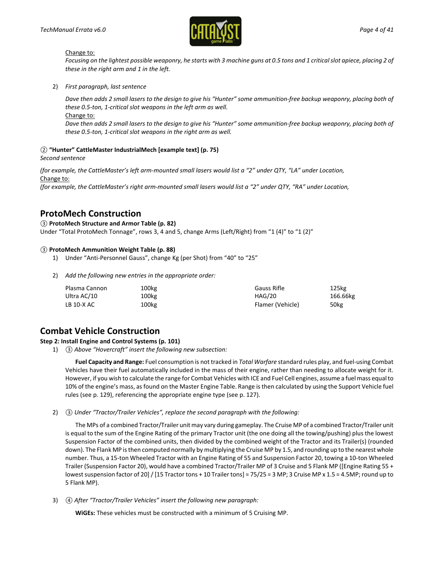

*Focusing on the lightest possible weaponry, he starts with 3 machine guns at 0.5 tons and 1 critical slot apiece, placing 2 of these in the right arm and 1 in the left.*

2) *First paragraph, last sentence*

*Dave then adds 2 small lasers to the design to give his "Hunter" some ammunition-free backup weaponry, placing both of these 0.5-ton, 1-critical slot weapons in the left arm as well.* Change to:

*Dave then adds 2 small lasers to the design to give his "Hunter" some ammunition-free backup weaponry, placing both of these 0.5-ton, 1-critical slot weapons in the right arm as well.*

#### *②* **"Hunter" CattleMaster IndustrialMech [example text] (p. 75)**

*Second sentence*

*(for example, the CattleMaster's left arm-mounted small lasers would list a "2" under QTY, "LA" under Location,* Change to:

*(for example, the CattleMaster's right arm-mounted small lasers would list a "2" under QTY, "RA" under Location,*

### **ProtoMech Construction**

#### *③* **ProtoMech Structure and Armor Table (p. 82)**

Under "Total ProtoMech Tonnage", rows 3, 4 and 5, change Arms (Left/Right) from "1 (4)" to "1 (2)"

#### *③* **ProtoMech Ammunition Weight Table (p. 88)**

- 1) Under "Anti-Personnel Gauss", change Kg (per Shot) from "40" to "25"
- 2) *Add the following new entries in the appropriate order:*

| Plasma Cannon | 100kg | Gauss Rifle      | 125 <sub>kg</sub> |
|---------------|-------|------------------|-------------------|
| Ultra AC/10   | 100kg | HAG/20           | 166.66kg          |
| LB 10-X AC    | 100kg | Flamer (Vehicle) | 50 <sub>kg</sub>  |

### **Combat Vehicle Construction**

#### **Step 2: Install Engine and Control Systems (p. 101)**

1) *③ Above "Hovercraft" insert the following new subsection:*

**Fuel Capacity and Range:** Fuel consumption is not tracked in *Total Warfare* standard rules play, and fuel-using Combat Vehicles have their fuel automatically included in the mass of their engine, rather than needing to allocate weight for it. However, if you wish to calculate the range for Combat Vehicles with ICE and Fuel Cell engines, assume a fuel mass equal to 10% of the engine's mass, as found on the Master Engine Table. Range is then calculated by using the Support Vehicle fuel rules (see p. 129), referencing the appropriate engine type (see p. 127).

2) *③ Under "Tractor/Trailer Vehicles", replace the second paragraph with the following:*

The MPs of a combined Tractor/Trailer unit may vary during gameplay. The Cruise MP of a combined Tractor/Trailer unit is equal to the sum of the Engine Rating of the primary Tractor unit (the one doing all the towing/pushing) plus the lowest Suspension Factor of the combined units, then divided by the combined weight of the Tractor and its Trailer(s) (rounded down). The Flank MP is then computed normally by multiplying the Cruise MP by 1.5, and rounding up to the nearest whole number. Thus, a 15-ton Wheeled Tractor with an Engine Rating of 55 and Suspension Factor 20, towing a 10-ton Wheeled Trailer (Suspension Factor 20), would have a combined Tractor/Trailer MP of 3 Cruise and 5 Flank MP ([Engine Rating 55 + lowest suspension factor of 20] / [15 Tractor tons + 10 Trailer tons] = 75/25 = 3 MP; 3 Cruise MP x 1.5 = 4.5MP; round up to 5 Flank MP).

3) *④ After "Tractor/Trailer Vehicles" insert the following new paragraph:*

**WiGEs:** These vehicles must be constructed with a minimum of 5 Cruising MP.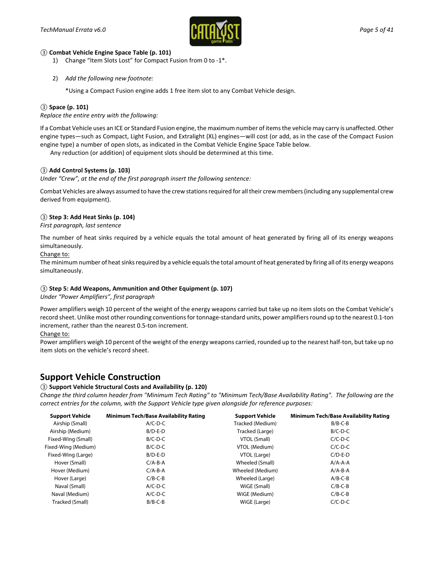

#### *③* **Combat Vehicle Engine Space Table (p. 101)**

- 1) Change "Item Slots Lost" for Compact Fusion from 0 to -1\*.
- 2) *Add the following new footnote:*

\*Using a Compact Fusion engine adds 1 free item slot to any Combat Vehicle design.

#### *③* **Space (p. 101)**

*Replace the entire entry with the following:*

If a Combat Vehicle uses an ICE or Standard Fusion engine, the maximum number of items the vehicle may carry is unaffected. Other engine types—such as Compact, Light Fusion, and Extralight (XL) engines—will cost (or add, as in the case of the Compact Fusion engine type) a number of open slots, as indicated in the Combat Vehicle Engine Space Table below.

Any reduction (or addition) of equipment slots should be determined at this time.

#### *③* **Add Control Systems (p. 103)**

*Under "Crew", at the end of the first paragraph insert the following sentence:*

Combat Vehicles are always assumed to have the crew stations required for all their crew members (including any supplemental crew derived from equipment).

#### *③* **Step 3: Add Heat Sinks (p. 104)**

*First paragraph, last sentence*

The number of heat sinks required by a vehicle equals the total amount of heat generated by firing all of its energy weapons simultaneously.

#### Change to:

The minimum number of heat sinks required by a vehicle equals the total amount of heat generated by firing all of its energy weapons simultaneously.

#### *③* **Step 5: Add Weapons, Ammunition and Other Equipment (p. 107)**

*Under "Power Amplifiers", first paragraph*

Power amplifiers weigh 10 percent of the weight of the energy weapons carried but take up no item slots on the Combat Vehicle's record sheet. Unlike most other rounding conventions for tonnage-standard units, power amplifiers round up to the nearest 0.1-ton increment, rather than the nearest 0.5-ton increment.

#### Change to:

Power amplifiers weigh 10 percent of the weight of the energy weapons carried, rounded up to the nearest half-ton, but take up no item slots on the vehicle's record sheet.

### **Support Vehicle Construction**

#### *③* **Support Vehicle Structural Costs and Availability (p. 120)**

*Change the third column header from "Minimum Tech Rating" to "Minimum Tech/Base Availability Rating". The following are the correct entries for the column, with the Support Vehicle type given alongside for reference purposes:*

| <b>Support Vehicle</b> | <b>Minimum Tech/Base Availability Rating</b> | <b>Support Vehicle</b> | <b>Minimum Tech/Base Availability Rating</b> |
|------------------------|----------------------------------------------|------------------------|----------------------------------------------|
| Airship (Small)        | $A/C-D-C$                                    | Tracked (Medium)       | $B/B-C-B$                                    |
| Airship (Medium)       | $B/D-E-D$                                    | Tracked (Large)        | $B/C-D-C$                                    |
| Fixed-Wing (Small)     | $B/C-D-C$                                    | VTOL (Small)           | $C/C-D-C$                                    |
| Fixed-Wing (Medium)    | $B/C-D-C$                                    | VTOL (Medium)          | $C/C-D-C$                                    |
| Fixed-Wing (Large)     | $B/D-E-D$                                    | VTOL (Large)           | $C/D-E-D$                                    |
| Hover (Small)          | $C/A-B-A$                                    | Wheeled (Small)        | $A/A-A-A$                                    |
| Hover (Medium)         | $C/A-B-A$                                    | Wheeled (Medium)       | $A/A-B-A$                                    |
| Hover (Large)          | $C/B-C-B$                                    | Wheeled (Large)        | $A/B-C-B$                                    |
| Naval (Small)          | $A/C-D-C$                                    | WiGE (Small)           | $C/B-C-B$                                    |
| Naval (Medium)         | $A/C-D-C$                                    | WiGE (Medium)          | $C/B-C-B$                                    |
| Tracked (Small)        | $B/B-C-B$                                    | WiGE (Large)           | $C/C-D-C$                                    |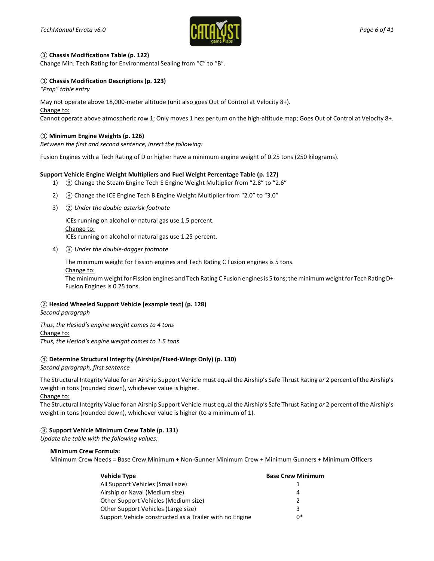

#### *③* **Chassis Modifications Table (p. 122)**

Change Min. Tech Rating for Environmental Sealing from "C" to "B".

#### *③* **Chassis Modification Descriptions (p. 123)**

*"Prop" table entry*

May not operate above 18,000-meter altitude (unit also goes Out of Control at Velocity 8+). Change to: Cannot operate above atmospheric row 1; Only moves 1 hex per turn on the high-altitude map; Goes Out of Control at Velocity 8+.

#### *③* **Minimum Engine Weights (p. 126)**

*Between the first and second sentence, insert the following:*

Fusion Engines with a Tech Rating of D or higher have a minimum engine weight of 0.25 tons (250 kilograms).

#### **Support Vehicle Engine Weight Multipliers and Fuel Weight Percentage Table (p. 127)**

- 1) *③* Change the Steam Engine Tech E Engine Weight Multiplier from "2.8" to "2.6"
- 2) *③* Change the ICE Engine Tech B Engine Weight Multiplier from "2.0" to "3.0"
- 3) *② Under the double-asterisk footnote*

ICEs running on alcohol or natural gas use 1.5 percent. Change to: ICEs running on alcohol or natural gas use 1.25 percent.

4) *③ Under the double-dagger footnote*

The minimum weight for Fission engines and Tech Rating C Fusion engines is 5 tons.

Change to:

The minimum weight for Fission engines and Tech Rating C Fusion engines is 5 tons; the minimum weight for Tech Rating D+ Fusion Engines is 0.25 tons.

#### *②* **Hesiod Wheeled Support Vehicle [example text] (p. 128)**

*Second paragraph*

*Thus, the Hesiod's engine weight comes to 4 tons*  Change to:

*Thus, the Hesiod's engine weight comes to 1.5 tons* 

#### *④* **Determine Structural Integrity (Airships/Fixed-Wings Only) (p. 130)**

*Second paragraph, first sentence*

The Structural Integrity Value for an Airship Support Vehicle must equal the Airship's Safe Thrust Rating *or* 2 percent of the Airship's weight in tons (rounded down), whichever value is higher.

Change to:

The Structural Integrity Value for an Airship Support Vehicle must equal the Airship's Safe Thrust Rating *or* 2 percent of the Airship's weight in tons (rounded down), whichever value is higher (to a minimum of 1).

#### *③* **Support Vehicle Minimum Crew Table (p. 131)**

*Update the table with the following values:*

#### **Minimum Crew Formula:**

Minimum Crew Needs = Base Crew Minimum + Non-Gunner Minimum Crew + Minimum Gunners + Minimum Officers

| <b>Vehicle Type</b>                                     | <b>Base Crew Minimum</b> |
|---------------------------------------------------------|--------------------------|
| All Support Vehicles (Small size)                       |                          |
| Airship or Naval (Medium size)                          | 4                        |
| Other Support Vehicles (Medium size)                    | $\mathcal{P}$            |
| Other Support Vehicles (Large size)                     | 3                        |
| Support Vehicle constructed as a Trailer with no Engine | 0*                       |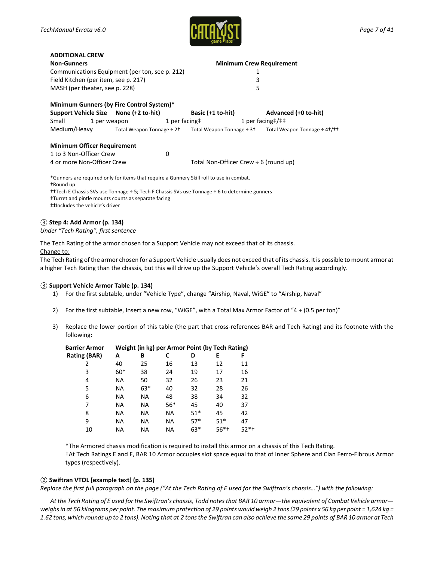**ADDITIONAL CREW**



| <b>ADDITIONAL CREW</b>                                                                                                                                                                                                                                                                           |  |                                 |                                            |   |                                                                                                                                                |  |  |
|--------------------------------------------------------------------------------------------------------------------------------------------------------------------------------------------------------------------------------------------------------------------------------------------------|--|---------------------------------|--------------------------------------------|---|------------------------------------------------------------------------------------------------------------------------------------------------|--|--|
| <b>Non-Gunners</b>                                                                                                                                                                                                                                                                               |  | <b>Minimum Crew Requirement</b> |                                            |   |                                                                                                                                                |  |  |
| Communications Equipment (per ton, see p. 212)                                                                                                                                                                                                                                                   |  | 1                               |                                            |   |                                                                                                                                                |  |  |
| Field Kitchen (per item, see p. 217)                                                                                                                                                                                                                                                             |  |                                 |                                            | 3 |                                                                                                                                                |  |  |
| MASH (per theater, see p. 228)                                                                                                                                                                                                                                                                   |  |                                 | 5                                          |   |                                                                                                                                                |  |  |
| Minimum Gunners (by Fire Control System)*                                                                                                                                                                                                                                                        |  |                                 |                                            |   |                                                                                                                                                |  |  |
| Support Vehicle Size None (+2 to-hit)                                                                                                                                                                                                                                                            |  |                                 | Basic (+1 to-hit)                          |   | Advanced (+0 to-hit)                                                                                                                           |  |  |
| Small                                                                                                                                                                                                                                                                                            |  |                                 | 1 per weapon 1 per facing#                 |   | 1 per facing $\frac{1}{1}$ + $\frac{1}{1}$                                                                                                     |  |  |
|                                                                                                                                                                                                                                                                                                  |  |                                 |                                            |   | Medium/Heavy $\overline{ }$ Total Weapon Tonnage $\div 2^+$ Total Weapon Tonnage $\div 3^+$ Total Weapon Tonnage $\div 4^+$ / $\overline{ }$ t |  |  |
| <b>Minimum Officer Requirement</b>                                                                                                                                                                                                                                                               |  |                                 |                                            |   |                                                                                                                                                |  |  |
| 1 to 3 Non-Officer Crew                                                                                                                                                                                                                                                                          |  | $\Omega$                        |                                            |   |                                                                                                                                                |  |  |
| 4 or more Non-Officer Crew                                                                                                                                                                                                                                                                       |  |                                 | Total Non-Officer Crew $\div$ 6 (round up) |   |                                                                                                                                                |  |  |
| *Gunners are required only for items that require a Gunnery Skill roll to use in combat.<br>+Round up<br>††Tech E Chassis SVs use Tonnage ÷ 5; Tech F Chassis SVs use Tonnage ÷ 6 to determine gunners<br>‡Turret and pintle mounts counts as separate facing<br>##Includes the vehicle's driver |  |                                 |                                            |   |                                                                                                                                                |  |  |

#### *③* **Step 4: Add Armor (p. 134)**

*Under "Tech Rating", first sentence*

The Tech Rating of the armor chosen for a Support Vehicle may not exceed that of its chassis. Change to:

The Tech Rating of the armor chosen for a Support Vehicle usually does not exceed that of its chassis. It is possible to mount armor at a higher Tech Rating than the chassis, but this will drive up the Support Vehicle's overall Tech Rating accordingly.

#### *③* **Support Vehicle Armor Table (p. 134)**

- 1) For the first subtable, under "Vehicle Type", change "Airship, Naval, WiGE" to "Airship, Naval"
- 2) For the first subtable, Insert a new row, "WiGE", with a Total Max Armor Factor of "4 + (0.5 per ton)"
- 3) Replace the lower portion of this table (the part that cross-references BAR and Tech Rating) and its footnote with the following:

| <b>Barrier Armor</b> |       |       |     |       | Weight (in kg) per Armor Point (by Tech Rating) |      |
|----------------------|-------|-------|-----|-------|-------------------------------------------------|------|
| Rating (BAR)         | A     | В     | C   | D     | E                                               | F    |
| 2                    | 40    | 25    | 16  | 13    | 12                                              | 11   |
| 3                    | $60*$ | 38    | 24  | 19    | 17                                              | 16   |
| 4                    | NA.   | 50    | 32  | 26    | 23                                              | 21   |
| 5                    | NA.   | $63*$ | 40  | 32    | 28                                              | 26   |
| 6                    | ΝA    | NA.   | 48  | 38    | 34                                              | 32   |
| 7                    | NA.   | NA.   | 56* | 45    | 40                                              | 37   |
| 8                    | ΝA    | NA.   | NA  | $51*$ | 45                                              | 42   |
| 9                    | NA.   | NA.   | NA. | $57*$ | $51*$                                           | 47   |
| 10                   | ΝA    | ΝA    | ΝA  | 63*   | 56*†                                            | 52*† |

\*The Armored chassis modification is required to install this armor on a chassis of this Tech Rating. †At Tech Ratings E and F, BAR 10 Armor occupies slot space equal to that of Inner Sphere and Clan Ferro-Fibrous Armor types (respectively).

#### *②* **Swiftran VTOL [example text] (p. 135)**

*Replace the first full paragraph on the page ("At the Tech Rating of E used for the Swiftran's chassis…") with the following:*

*At the Tech Rating of E used for the Swiftran's chassis, Todd notes that BAR 10 armor—the equivalent of Combat Vehicle armor weighs in at 56 kilograms per point. The maximum protection of 29 points would weigh 2 tons (29 points x 56 kg per point = 1,624 kg = 1.62 tons, which rounds up to 2 tons). Noting that at 2 tons the Swiftran can also achieve the same 29 points of BAR 10 armor at Tech*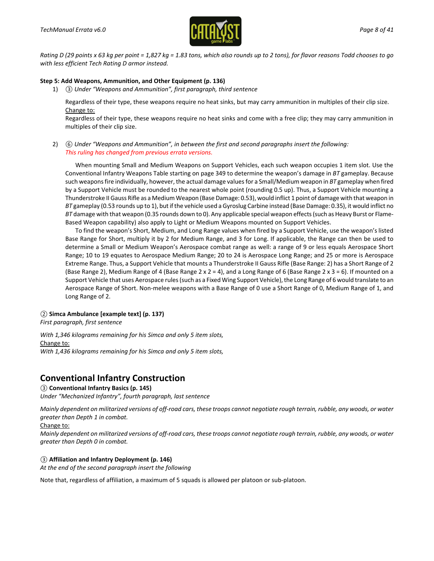

*Rating D (29 points x 63 kg per point = 1,827 kg = 1.83 tons, which also rounds up to 2 tons), for flavor reasons Todd chooses to go with less efficient Tech Rating D armor instead.*

#### **Step 5: Add Weapons, Ammunition, and Other Equipment (p. 136)**

1) *③ Under "Weapons and Ammunition", first paragraph, third sentence*

Regardless of their type, these weapons require no heat sinks, but may carry ammunition in multiples of their clip size. Change to:

Regardless of their type, these weapons require no heat sinks and come with a free clip; they may carry ammunition in multiples of their clip size.

2) *⑥ Under "Weapons and Ammunition", in between the first and second paragraphs insert the following: This ruling has changed from previous errata versions.*

When mounting Small and Medium Weapons on Support Vehicles, each such weapon occupies 1 item slot. Use the Conventional Infantry Weapons Table starting on page 349 to determine the weapon's damage in *BT* gameplay. Because such weaponsfire individually, however, the actual damage values for a Small/Medium weapon in *BT* gameplay when fired by a Support Vehicle must be rounded to the nearest whole point (rounding 0.5 up). Thus, a Support Vehicle mounting a Thunderstroke II Gauss Rifle as a Medium Weapon (Base Damage: 0.53), would inflict 1 point of damage with that weapon in *BT* gameplay (0.53 rounds up to 1), but if the vehicle used a Gyroslug Carbine instead (Base Damage: 0.35), it would inflict no *BT* damage with that weapon (0.35 rounds down to 0). Any applicable special weapon effects (such as Heavy Burst or Flame-Based Weapon capability) also apply to Light or Medium Weapons mounted on Support Vehicles.

To find the weapon's Short, Medium, and Long Range values when fired by a Support Vehicle, use the weapon's listed Base Range for Short, multiply it by 2 for Medium Range, and 3 for Long. If applicable, the Range can then be used to determine a Small or Medium Weapon's Aerospace combat range as well: a range of 9 or less equals Aerospace Short Range; 10 to 19 equates to Aerospace Medium Range; 20 to 24 is Aerospace Long Range; and 25 or more is Aerospace Extreme Range. Thus, a Support Vehicle that mounts a Thunderstroke II Gauss Rifle (Base Range: 2) has a Short Range of 2 (Base Range 2), Medium Range of 4 (Base Range 2 x 2 = 4), and a Long Range of 6 (Base Range 2 x 3 = 6). If mounted on a Support Vehicle that uses Aerospace rules (such as a Fixed Wing Support Vehicle), the Long Range of 6 would translate to an Aerospace Range of Short. Non-melee weapons with a Base Range of 0 use a Short Range of 0, Medium Range of 1, and Long Range of 2.

#### *②* **Simca Ambulance [example text] (p. 137)**

*First paragraph, first sentence*

*With 1,346 kilograms remaining for his Simca and only 5 item slots,* Change to: *With 1,436 kilograms remaining for his Simca and only 5 item slots,*

### **Conventional Infantry Construction**

#### *③* **Conventional Infantry Basics (p. 145)**

*Under "Mechanized Infantry", fourth paragraph, last sentence*

*Mainly dependent on militarized versions of off-road cars, these troops cannot negotiate rough terrain, rubble, any woods, or water greater than Depth 1 in combat.*

#### Change to:

*Mainly dependent on militarized versions of off-road cars, these troops cannot negotiate rough terrain, rubble, any woods, or water greater than Depth 0 in combat.*

#### *③* **Affiliation and Infantry Deployment (p. 146)**

*At the end of the second paragraph insert the following*

Note that, regardless of affiliation, a maximum of 5 squads is allowed per platoon or sub-platoon.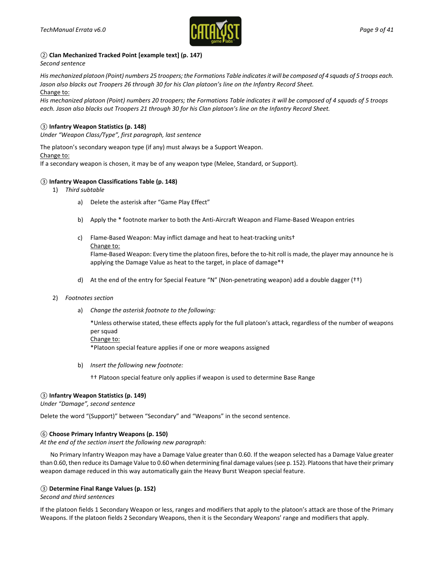

#### *②* **Clan Mechanized Tracked Point [example text] (p. 147)**

#### *Second sentence*

*His mechanized platoon (Point) numbers 25 troopers; the Formations Table indicates it will be composed of 4 squads of 5 troops each. Jason also blacks out Troopers 26 through 30 for his Clan platoon's line on the Infantry Record Sheet.* Change to:

*His mechanized platoon (Point) numbers 20 troopers; the Formations Table indicates it will be composed of 4 squads of 5 troops each. Jason also blacks out Troopers 21 through 30 for his Clan platoon's line on the Infantry Record Sheet.*

#### *③* **Infantry Weapon Statistics (p. 148)**

*Under "Weapon Class/Type", first paragraph, last sentence*

The platoon's secondary weapon type (if any) must always be a Support Weapon.

Change to:

If a secondary weapon is chosen, it may be of any weapon type (Melee, Standard, or Support).

#### *③* **Infantry Weapon Classifications Table (p. 148)**

- 1) *Third subtable*
	- a) Delete the asterisk after "Game Play Effect"
	- b) Apply the \* footnote marker to both the Anti-Aircraft Weapon and Flame-Based Weapon entries
	- c) Flame-Based Weapon: May inflict damage and heat to heat-tracking units† Change to:

Flame-Based Weapon: Every time the platoon fires, before the to-hit roll is made, the player may announce he is applying the Damage Value as heat to the target, in place of damage\*†

d) At the end of the entry for Special Feature "N" (Non-penetrating weapon) add a double dagger (††)

#### 2) *Footnotes section*

a) *Change the asterisk footnote to the following:*

\*Unless otherwise stated, these effects apply for the full platoon's attack, regardless of the number of weapons per squad

Change to:

\*Platoon special feature applies if one or more weapons assigned

b) *Insert the following new footnote:*

†† Platoon special feature only applies if weapon is used to determine Base Range

#### *③* **Infantry Weapon Statistics (p. 149)**

*Under "Damage", second sentence*

Delete the word "(Support)" between "Secondary" and "Weapons" in the second sentence.

#### *⑥* **Choose Primary Infantry Weapons (p. 150)**

*At the end of the section insert the following new paragraph:*

No Primary Infantry Weapon may have a Damage Value greater than 0.60. If the weapon selected has a Damage Value greater than 0.60, then reduce its Damage Value to 0.60 when determining final damage values (see p. 152). Platoons that have their primary weapon damage reduced in this way automatically gain the Heavy Burst Weapon special feature.

#### *③* **Determine Final Range Values (p. 152)**

*Second and third sentences*

If the platoon fields 1 Secondary Weapon or less, ranges and modifiers that apply to the platoon's attack are those of the Primary Weapons. If the platoon fields 2 Secondary Weapons, then it is the Secondary Weapons' range and modifiers that apply.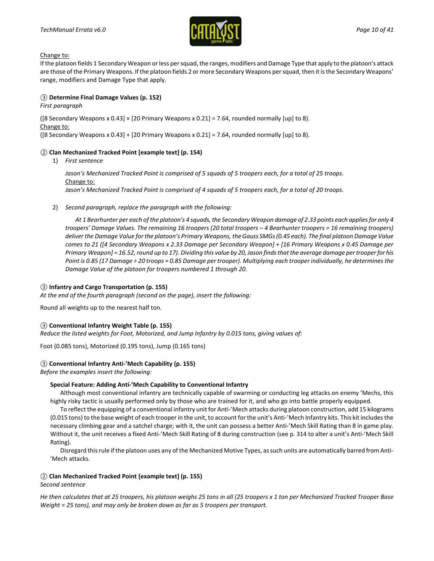

If the platoon fields 1 Secondary Weapon or less per squad, the ranges, modifiers and Damage Type that apply to the platoon's attack are those of the Primary Weapons. If the platoon fields 2 or more Secondary Weapons per squad, then it is the Secondary Weapons' range, modifiers and Damage Type that apply.

#### *③* **Determine Final Damage Values (p. 152)**

*First paragraph*

([8 Secondary Weapons x 0.43]  $\times$  [20 Primary Weapons x 0.21] = 7.64, rounded normally [up] to 8). Change to:

([8 Secondary Weapons x 0.43] + [20 Primary Weapons x 0.21] = 7.64, rounded normally [up] to 8).

#### *②* **Clan Mechanized Tracked Point [example text] (p. 154)**

1) *First sentence*

*Jason's Mechanized Tracked Point is comprised of 5 squads of 5 troopers each, for a total of 25 troops.* Change to: *Jason's Mechanized Tracked Point is comprised of 4 squads of 5 troopers each, for a total of 20 troops.*

2) *Second paragraph, replace the paragraph with the following:*

*At 1 Bearhunter per each of the platoon's 4 squads, the Secondary Weapon damage of 2.33 points each applies for only 4 troopers' Damage Values. The remaining 16 troopers (20 total troopers – 4 Bearhunter troopers = 16 remaining troopers) deliver the Damage Value for the platoon's Primary Weapons, the Gauss SMGs (0.45 each). The final platoon Damage Value comes to 21 ([4 Secondary Weapons x 2.33 Damage per Secondary Weapon] + [16 Primary Weapons x 0.45 Damage per Primary Weapon] = 16.52, round up to 17). Dividing this value by 20, Jason finds that the average damage per trooper for his Point is 0.85 (17 Damage ÷ 20 troops = 0.85 Damage per trooper). Multiplying each trooper individually, he determines the Damage Value of the platoon for troopers numbered 1 through 20.*

#### *③* **Infantry and Cargo Transportation (p. 155)**

*At the end of the fourth paragraph (second on the page), insert the following:*

Round all weights up to the nearest half ton.

#### *③* **Conventional Infantry Weight Table (p. 155)**

*Reduce the listed weights for Foot, Motorized, and Jump Infantry by 0.015 tons, giving values of:*

Foot (0.085 tons), Motorized (0.195 tons), Jump (0.165 tons)

#### *③* **Conventional Infantry Anti-'Mech Capability (p. 155)**

#### *Before the examples insert the following:*

#### **Special Feature: Adding Anti-'Mech Capability to Conventional Infantry**

Although most conventional infantry are technically capable of swarming or conducting leg attacks on enemy 'Mechs, this highly risky tactic is usually performed only by those who are trained for it, and who go into battle properly equipped.

To reflect the equipping of a conventional infantry unit for Anti-'Mech attacks during platoon construction, add 15 kilograms (0.015 tons) to the base weight of each trooper in the unit, to account for the unit's Anti-'Mech Infantry kits. This kit includes the necessary climbing gear and a satchel charge; with it, the unit can possess a better Anti-'Mech Skill Rating than 8 in game play. Without it, the unit receives a fixed Anti-'Mech Skill Rating of 8 during construction (see p. 314 to alter a unit's Anti-'Mech Skill Rating).

Disregard this rule if the platoon uses any of the Mechanized Motive Types, as such units are automatically barred from Anti- 'Mech attacks.

#### *②* **Clan Mechanized Tracked Point [example text] (p. 155)**

#### *Second sentence*

*He then calculates that at 25 troopers, his platoon weighs 25 tons in all (25 troopers x 1 ton per Mechanized Tracked Trooper Base Weight = 25 tons), and may only be broken down as far as 5 troopers per transport.*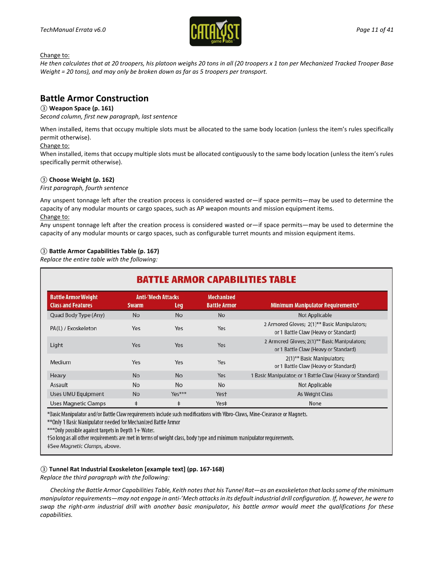

*He then calculates that at 20 troopers, his platoon weighs 20 tons in all (20 troopers x 1 ton per Mechanized Tracked Trooper Base Weight = 20 tons), and may only be broken down as far as 5 troopers per transport.*

### **Battle Armor Construction**

#### *③* **Weapon Space (p. 161)**

*Second column, first new paragraph, last sentence*

When installed, items that occupy multiple slots must be allocated to the same body location (unless the item's rules specifically permit otherwise).

#### Change to:

When installed, items that occupy multiple slots must be allocated contiguously to the same body location (unless the item's rules specifically permit otherwise).

#### *③* **Choose Weight (p. 162)**

#### *First paragraph, fourth sentence*

Any unspent tonnage left after the creation process is considered wasted or—if space permits—may be used to determine the capacity of any modular mounts or cargo spaces, such as AP weapon mounts and mission equipment items. Change to:

Any unspent tonnage left after the creation process is considered wasted or—if space permits—may be used to determine the capacity of any modular mounts or cargo spaces, such as configurable turret mounts and mission equipment items.

#### *③* **Battle Armor Capabilities Table (p. 167)**

*Replace the entire table with the following:*

| <b>BATTLE ARMOR CAPABILITIES TABLE</b>                  |              |                                   |                                          |                                                                                      |  |  |
|---------------------------------------------------------|--------------|-----------------------------------|------------------------------------------|--------------------------------------------------------------------------------------|--|--|
| <b>Battle Armor Weight</b><br><b>Class and Features</b> | <b>Swarm</b> | <b>Anti-'Mech Attacks</b><br>Leq, | <b>Mechanized</b><br><b>Battle Armor</b> | <b>Minimum Manipulator Requirements*</b>                                             |  |  |
| Quad Body Type (Any)                                    | <b>No</b>    | <b>No</b>                         | <b>No</b>                                | Not Applicable                                                                       |  |  |
| PA(L) / Exoskeleton                                     | Yes          | Yes                               | Yes                                      | 2 Armored Gloves; 2(1)** Basic Manipulators;<br>or 1 Battle Claw (Heavy or Standard) |  |  |
| Light                                                   | Yes          | Yes                               | Yes                                      | 2 Armored Gloves; 2(1)** Basic Manipulators;<br>or 1 Battle Claw (Heavy or Standard) |  |  |
| Medium                                                  | Yes          | Yes                               | Yes                                      | 2(1)** Basic Manipulators;<br>or 1 Battle Claw (Heavy or Standard)                   |  |  |
| Heavy                                                   | <b>No</b>    | <b>No</b>                         | Yes                                      | 1 Basic Manipulator; or 1 Battle Claw (Heavy or Standard)                            |  |  |
| Assault                                                 | No           | <b>No</b>                         | No                                       | Not Applicable                                                                       |  |  |
| Uses UMU Equipment                                      | <b>No</b>    | $Yes***$                          | Yest                                     | As Weight Class                                                                      |  |  |
| <b>Uses Magnetic Clamps</b>                             | $\ddagger$   | $\ddagger$                        | Yes‡                                     | None                                                                                 |  |  |

\*Basic Manipulator and/or Battle Claw requirements include such modifications with Vibro-Claws, Mine-Clearance or Magnets.

\*\* Only 1 Basic Manipulator needed for Mechanized Battle Armor

\*\*\* Only possible against targets in Depth 1+ Water.

†So long as all other requirements are met in terms of weight class, body type and minimum manipulator requirements.

‡See Magnetic Clamps, above.

#### *③* **Tunnel Rat Industrial Exoskeleton [example text] (pp. 167-168)**

*Replace the third paragraph with the following:*

*Checking the Battle Armor Capabilities Table, Keith notes that his Tunnel Rat—as an exoskeleton that lacks some of the minimum manipulator requirements—may not engage in anti-'Mech attacks in its default industrial drill configuration. If, however, he were to swap the right-arm industrial drill with another basic manipulator, his battle armor would meet the qualifications for these capabilities.*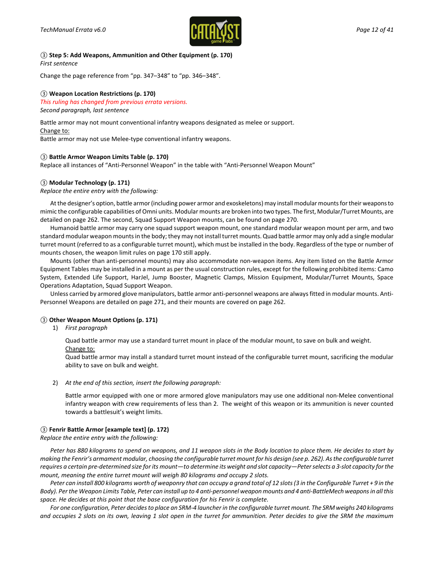

*③* **Step 5: Add Weapons, Ammunition and Other Equipment (p. 170)** *First sentence*

Change the page reference from "pp. 347–348" to "pp. 346–348".

#### *③* **Weapon Location Restrictions (p. 170)**

#### *This ruling has changed from previous errata versions. Second paragraph, last sentence*

Battle armor may not mount conventional infantry weapons designated as melee or support. Change to:

Battle armor may not use Melee-type conventional infantry weapons.

#### *③* **Battle Armor Weapon Limits Table (p. 170)**

Replace all instances of "Anti-Personnel Weapon" in the table with "Anti-Personnel Weapon Mount"

#### *③* **Modular Technology (p. 171)**

*Replace the entire entry with the following:*

At the designer's option, battle armor (including power armor and exoskeletons) may install modular mounts for their weaponsto mimic the configurable capabilities of Omni units. Modular mounts are broken into two types. The first, Modular/Turret Mounts, are detailed on page 262. The second, Squad Support Weapon mounts, can be found on page 270.

Humanoid battle armor may carry one squad support weapon mount, one standard modular weapon mount per arm, and two standard modular weapon mounts in the body; they may not install turret mounts. Quad battle armor may only add a single modular turret mount (referred to as a configurable turret mount), which must be installed in the body. Regardless of the type or number of mounts chosen, the weapon limit rules on page 170 still apply.

Mounts (other than anti-personnel mounts) may also accommodate non-weapon items. Any item listed on the Battle Armor Equipment Tables may be installed in a mount as per the usual construction rules, except for the following prohibited items: Camo System, Extended Life Support, HarJel, Jump Booster, Magnetic Clamps, Mission Equipment, Modular/Turret Mounts, Space Operations Adaptation, Squad Support Weapon.

Unless carried by armored glove manipulators, battle armor anti-personnel weapons are always fitted in modular mounts. Anti-Personnel Weapons are detailed on page 271, and their mounts are covered on page 262.

#### *③* **Other Weapon Mount Options (p. 171)**

1) *First paragraph*

Quad battle armor may use a standard turret mount in place of the modular mount, to save on bulk and weight. Change to:

Quad battle armor may install a standard turret mount instead of the configurable turret mount, sacrificing the modular ability to save on bulk and weight.

2) *At the end of this section, insert the following paragraph:*

Battle armor equipped with one or more armored glove manipulators may use one additional non-Melee conventional infantry weapon with crew requirements of less than 2. The weight of this weapon or its ammunition is never counted towards a battlesuit's weight limits.

#### *③* **Fenrir Battle Armor [example text] (p. 172)**

*Replace the entire entry with the following:*

*Peter has 880 kilograms to spend on weapons, and 11 weapon slots in the Body location to place them. He decides to start by making the Fenrir's armament modular, choosing the configurable turret mount for his design (see p. 262). As the configurable turret requires a certain pre-determined size for its mount—to determine its weight and slot capacity—Peter selects a 3-slot capacity for the mount, meaning the entire turret mount will weigh 80 kilograms and occupy 2 slots.*

*Peter can install 800 kilograms worth of weaponry that can occupy a grand total of 12 slots (3 in the Configurable Turret + 9 in the Body). Per the Weapon Limits Table, Peter can install up to 4 anti-personnel weapon mounts and 4 anti-BattleMech weapons in all this space. He decides at this point that the base configuration for his Fenrir is complete.*

*For one configuration, Peter decides to place an SRM-4 launcher in the configurable turret mount. The SRM weighs 240 kilograms and occupies 2 slots on its own, leaving 1 slot open in the turret for ammunition. Peter decides to give the SRM the maximum*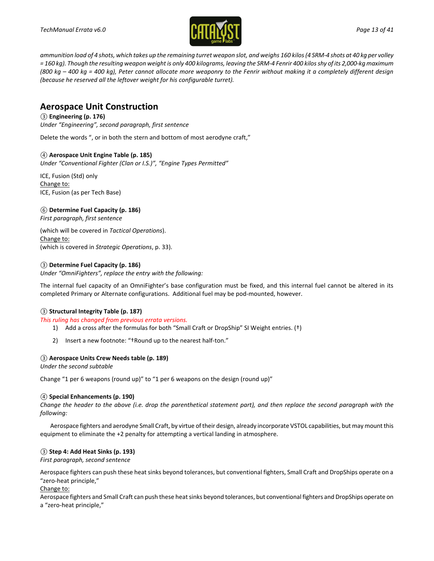

*ammunition load of 4 shots, which takes up the remaining turret weapon slot, and weighs 160 kilos (4 SRM-4 shots at 40 kg per volley = 160 kg). Though the resulting weapon weight is only 400 kilograms, leaving the SRM-4 Fenrir 400 kilos shy of its 2,000-kg maximum (800 kg – 400 kg = 400 kg), Peter cannot allocate more weaponry to the Fenrir without making it a completely different design (because he reserved all the leftover weight for his configurable turret).*

### **Aerospace Unit Construction**

#### *③* **Engineering (p. 176)**

*Under "Engineering", second paragraph, first sentence*

Delete the words ", or in both the stern and bottom of most aerodyne craft,"

#### *④* **Aerospace Unit Engine Table (p. 185)**

*Under "Conventional Fighter (Clan or I.S.)", "Engine Types Permitted"*

ICE, Fusion (Std) only Change to: ICE, Fusion (as per Tech Base)

*⑥* **Determine Fuel Capacity (p. 186)**

*First paragraph, first sentence*

(which will be covered in *Tactical Operations*). Change to: (which is covered in *Strategic Operations*, p. 33).

#### *③* **Determine Fuel Capacity (p. 186)**

*Under "OmniFighters", replace the entry with the following:*

The internal fuel capacity of an OmniFighter's base configuration must be fixed, and this internal fuel cannot be altered in its completed Primary or Alternate configurations. Additional fuel may be pod-mounted, however.

#### *③* **Structural Integrity Table (p. 187)**

*This ruling has changed from previous errata versions.*

- 1) Add a cross after the formulas for both "Small Craft or DropShip" SI Weight entries. (†)
- 2) Insert a new footnote: "†Round up to the nearest half-ton."

#### *③* **Aerospace Units Crew Needs table (p. 189)**

*Under the second subtable*

Change "1 per 6 weapons (round up)" to "1 per 6 weapons on the design (round up)"

#### *④* **Special Enhancements (p. 190)**

*Change the header to the above (i.e. drop the parenthetical statement part), and then replace the second paragraph with the following:*

Aerospace fighters and aerodyne Small Craft, by virtue of their design, already incorporate VSTOL capabilities, but may mountthis equipment to eliminate the +2 penalty for attempting a vertical landing in atmosphere.

#### *③* **Step 4: Add Heat Sinks (p. 193)**

*First paragraph, second sentence*

Aerospace fighters can push these heat sinks beyond tolerances, but conventional fighters, Small Craft and DropShips operate on a "zero-heat principle,"

#### Change to:

Aerospace fighters and Small Craft can push these heat sinks beyond tolerances, but conventional fighters and DropShips operate on a "zero-heat principle,"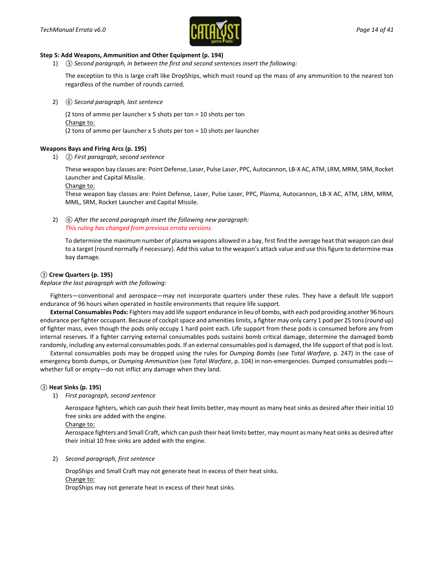

#### **Step 5: Add Weapons, Ammunition and Other Equipment (p. 194)**

1) *③ Second paragraph, in between the first and second sentences insert the following:*

The exception to this is large craft like DropShips, which must round up the mass of any ammunition to the nearest ton regardless of the number of rounds carried.

2) *⑥ Second paragraph, last sentence*

(2 tons of ammo per launcher x 5 shots per ton = 10 shots per ton Change to: (2 tons of ammo per launcher x 5 shots per ton = 10 shots per launcher

#### **Weapons Bays and Firing Arcs (p. 195)**

1) *② First paragraph, second sentence*

These weapon bay classes are: Point Defense, Laser, Pulse Laser, PPC, Autocannon, LB-X AC, ATM, LRM, MRM, SRM, Rocket Launcher and Capital Missile.

Change to:

These weapon bay classes are: Point Defense, Laser, Pulse Laser, PPC, Plasma, Autocannon, LB-X AC, ATM, LRM, MRM, MML, SRM, Rocket Launcher and Capital Missile.

2) *⑥ After the second paragraph insert the following new paragraph: This ruling has changed from previous errata versions.*

To determine the maximum number of plasma weapons allowed in a bay, first find the average heat that weapon can deal to a target (round normally if necessary). Add this value to the weapon's attack value and use this figure to determine max bay damage.

#### *③* **Crew Quarters (p. 195)**

*Replace the last paragraph with the following:*

Fighters—conventional and aerospace—may not incorporate quarters under these rules. They have a default life support endurance of 96 hours when operated in hostile environments that require life support.

**External Consumables Pods:** Fighters may add life support endurance in lieu of bombs, with each pod providing another 96 hours endurance per fighter occupant. Because of cockpit space and amenities limits, a fighter may only carry 1 pod per 25 tons (round up) of fighter mass, even though the pods only occupy 1 hard point each. Life support from these pods is consumed before any from internal reserves. If a fighter carrying external consumables pods sustains bomb critical damage, determine the damaged bomb randomly, including any external consumables pods. If an external consumables pod is damaged, the life support of that pod is lost.

External consumables pods may be dropped using the rules for *Dumping Bombs* (see *Total Warfare*, p. 247) in the case of emergency bomb dumps, or *Dumping Ammunition* (see *Total Warfare*, p. 104) in non-emergencies. Dumped consumables pods whether full or empty—do not inflict any damage when they land.

#### *③* **Heat Sinks (p. 195)**

1) *First paragraph, second sentence*

Aerospace fighters, which can push their heat limits better, may mount as many heat sinks as desired after their initial 10 free sinks are added with the engine.

Change to:

Aerospace fighters and Small Craft, which can push their heat limits better, may mount as many heat sinks as desired after their initial 10 free sinks are added with the engine.

2) *Second paragraph, first sentence*

DropShips and Small Craft may not generate heat in excess of their heat sinks. Change to:

DropShips may not generate heat in excess of their heat sinks.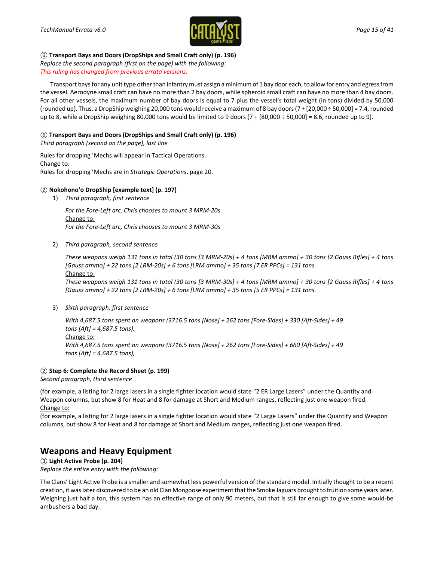

#### *⑥* **Transport Bays and Doors (DropShips and Small Craft only) (p. 196)**

*Replace the second paragraph (first on the page) with the following: This ruling has changed from previous errata versions.*

Transport baysfor any unit type other than infantry must assign a minimum of 1 bay door each, to allow for entry and egress from the vessel. Aerodyne small craft can have no more than 2 bay doors, while spheroid small craft can have no more than 4 bay doors. For all other vessels, the maximum number of bay doors is equal to 7 plus the vessel's total weight (in tons) divided by 50,000 (rounded up). Thus, a DropShip weighing 20,000 tons would receive a maximum of 8 bay doors (7 + [20,000 ÷ 50,000] = 7.4, rounded up to 8, while a DropShip weighing 80,000 tons would be limited to 9 doors  $(7 + [80,000 + 50,000] = 8.6$ , rounded up to 9).

#### *⑥* **Transport Bays and Doors (DropShips and Small Craft only) (p. 196)**

*Third paragraph (second on the page), last line*

Rules for dropping 'Mechs will appear in Tactical Operations. Change to: Rules for dropping 'Mechs are in *Strategic Operations*, page 20.

#### *②* **Nokohono'o DropShip [example text] (p. 197)**

1) *Third paragraph, first sentence*

*For the Fore-Left arc, Chris chooses to mount 3 MRM-20s* Change to: *For the Fore-Left arc, Chris chooses to mount 3 MRM-30s*

2) *Third paragraph, second sentence*

*These weapons weigh 131 tons in total (30 tons [3 MRM-20s] + 4 tons [MRM ammo] + 30 tons [2 Gauss Rifles] + 4 tons [Gauss ammo] + 22 tons [2 LRM-20s] + 6 tons [LRM ammo] + 35 tons [7 ER PPCs] = 131 tons.* Change to:

*These weapons weigh 131 tons in total (30 tons [3 MRM-30s] + 4 tons [MRM ammo] + 30 tons [2 Gauss Rifles] + 4 tons [Gauss ammo] + 22 tons [2 LRM-20s] + 6 tons [LRM ammo] + 35 tons [5 ER PPCs] = 131 tons.*

3) *Sixth paragraph, first sentence*

*With 4,687.5 tons spent on weapons (3716.5 tons [Nose] + 262 tons [Fore-Sides] + 330 [Aft-Sides] + 49 tons [Aft] = 4,687.5 tons),* Change to: *With 4,687.5 tons spent on weapons (3716.5 tons [Nose] + 262 tons [Fore-Sides] + 660 [Aft-Sides] + 49 tons [Aft] = 4,687.5 tons),*

#### *②* **Step 6: Complete the Record Sheet (p. 199)**

*Second paragraph, third sentence*

(for example, a listing for 2 large lasers in a single fighter location would state "2 ER Large Lasers" under the Quantity and Weapon columns, but show 8 for Heat and 8 for damage at Short and Medium ranges, reflecting just one weapon fired. Change to:

(for example, a listing for 2 large lasers in a single fighter location would state "2 Large Lasers" under the Quantity and Weapon columns, but show 8 for Heat and 8 for damage at Short and Medium ranges, reflecting just one weapon fired.

### **Weapons and Heavy Equipment**

*③* **Light Active Probe (p. 204)**

*Replace the entire entry with the following:*

The Clans' Light Active Probe is a smaller and somewhat less powerful version of the standard model. Initially thought to be a recent creation, it was later discovered to be an old Clan Mongoose experiment that the Smoke Jaguars brought to fruition some years later. Weighing just half a ton, this system has an effective range of only 90 meters, but that is still far enough to give some would-be ambushers a bad day.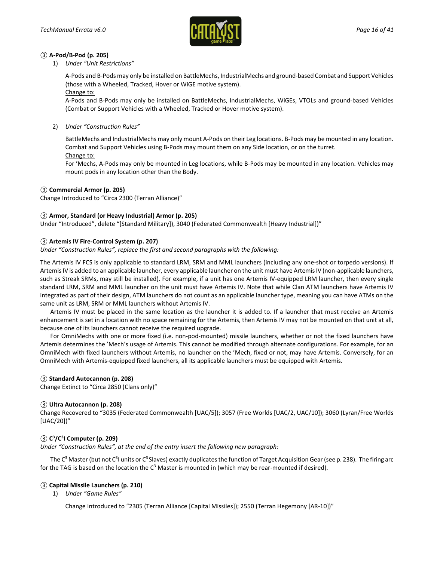

#### *③* **A-Pod/B-Pod (p. 205)**

#### 1) *Under "Unit Restrictions"*

A-Pods and B-Pods may only be installed on BattleMechs, IndustrialMechs and ground-based Combat and Support Vehicles (those with a Wheeled, Tracked, Hover or WiGE motive system).

#### Change to:

A-Pods and B-Pods may only be installed on BattleMechs, IndustrialMechs, WiGEs, VTOLs and ground-based Vehicles (Combat or Support Vehicles with a Wheeled, Tracked or Hover motive system).

2) *Under "Construction Rules"*

BattleMechs and IndustrialMechs may only mount A-Pods on their Leg locations. B-Pods may be mounted in any location. Combat and Support Vehicles using B-Pods may mount them on any Side location, or on the turret. Change to:

For 'Mechs, A-Pods may only be mounted in Leg locations, while B-Pods may be mounted in any location. Vehicles may mount pods in any location other than the Body.

#### *③* **Commercial Armor (p. 205)**

Change Introduced to "Circa 2300 (Terran Alliance)"

#### *③* **Armor, Standard (or Heavy Industrial) Armor (p. 205)**

Under "Introduced", delete "[Standard Military]), 3040 (Federated Commonwealth [Heavy Industrial])"

#### *③* **Artemis IV Fire-Control System (p. 207)**

*Under "Construction Rules", replace the first and second paragraphs with the following:*

The Artemis IV FCS is only applicable to standard LRM, SRM and MML launchers (including any one-shot or torpedo versions). If Artemis IV is added to an applicable launcher, every applicable launcher on the unit must have Artemis IV (non-applicable launchers, such as Streak SRMs, may still be installed). For example, if a unit has one Artemis IV-equipped LRM launcher, then every single standard LRM, SRM and MML launcher on the unit must have Artemis IV. Note that while Clan ATM launchers have Artemis IV integrated as part of their design, ATM launchers do not count as an applicable launcher type, meaning you can have ATMs on the same unit as LRM, SRM or MML launchers without Artemis IV.

Artemis IV must be placed in the same location as the launcher it is added to. If a launcher that must receive an Artemis enhancement is set in a location with no space remaining for the Artemis, then Artemis IV may not be mounted on that unit at all, because one of its launchers cannot receive the required upgrade.

For OmniMechs with one or more fixed (i.e. non-pod-mounted) missile launchers, whether or not the fixed launchers have Artemis determines the 'Mech's usage of Artemis. This cannot be modified through alternate configurations. For example, for an OmniMech with fixed launchers without Artemis, no launcher on the 'Mech, fixed or not, may have Artemis. Conversely, for an OmniMech with Artemis-equipped fixed launchers, all its applicable launchers must be equipped with Artemis.

#### *③* **Standard Autocannon (p. 208)**

Change Extinct to "Circa 2850 (Clans only)"

#### *③* **Ultra Autocannon (p. 208)**

Change Recovered to "3035 (Federated Commonwealth [UAC/5]); 3057 (Free Worlds [UAC/2, UAC/10]); 3060 (Lyran/Free Worlds [UAC/20])"

#### *③* **C3 /C3 I Computer (p. 209)**

*Under "Construction Rules", at the end of the entry insert the following new paragraph:*

The C<sup>3</sup> Master (but not C<sup>3</sup>I units or C<sup>3</sup> Slaves) exactly duplicates the function of Target Acquisition Gear (see p. 238). The firing arc for the TAG is based on the location the  $C<sup>3</sup>$  Master is mounted in (which may be rear-mounted if desired).

#### *③* **Capital Missile Launchers (p. 210)**

1) *Under "Game Rules"*

Change Introduced to "2305 (Terran Alliance [Capital Missiles]); 2550 (Terran Hegemony [AR-10])"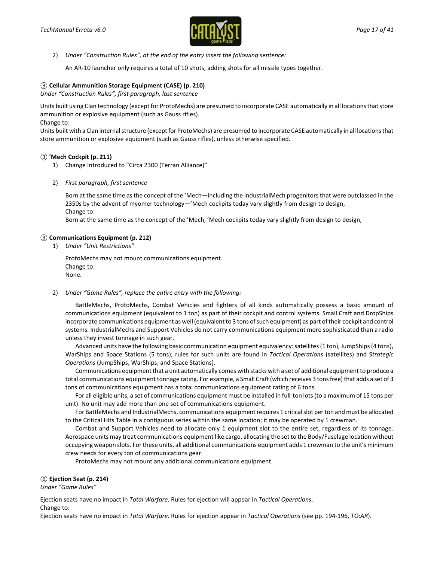

2) *Under "Construction Rules", at the end of the entry insert the following sentence:*

An AR-10 launcher only requires a total of 10 shots, adding shots for all missile types together.

#### *③* **Cellular Ammunition Storage Equipment (CASE) (p. 210)**

*Under "Construction Rules", first paragraph, last sentence*

Units built using Clan technology (except for ProtoMechs) are presumed to incorporate CASE automatically in all locations that store ammunition or explosive equipment (such as Gauss rifles).

Change to:

Units built with a Clan internal structure (except for ProtoMechs) are presumed to incorporate CASE automatically in all locations that store ammunition or explosive equipment (such as Gauss rifles), unless otherwise specified.

#### *③* **'Mech Cockpit (p. 211)**

- 1) Change Introduced to "Circa 2300 (Terran Alliance)"
- 2) *First paragraph, first sentence*

Born at the same time as the concept of the 'Mech—including the IndustrialMech progenitors that were outclassed in the 2350s by the advent of myomer technology—'Mech cockpits today vary slightly from design to design, Change to:

Born at the same time as the concept of the 'Mech, 'Mech cockpits today vary slightly from design to design,

#### *③* **Communications Equipment (p. 212)**

1) *Under "Unit Restrictions"*

ProtoMechs may not mount communications equipment. Change to: None.

#### 2) *Under "Game Rules", replace the entire entry with the following:*

BattleMechs, ProtoMechs, Combat Vehicles and fighters of all kinds automatically possess a basic amount of communications equipment (equivalent to 1 ton) as part of their cockpit and control systems. Small Craft and DropShips incorporate communications equipment as well (equivalent to 3 tons of such equipment) as part of their cockpit and control systems. IndustrialMechs and Support Vehicles do not carry communications equipment more sophisticated than a radio unless they invest tonnage in such gear.

Advanced units have the following basic communication equipment equivalency: satellites (1 ton), JumpShips (4 tons), WarShips and Space Stations (5 tons); rules for such units are found in *Tactical Operations* (satellites) and S*trategic Operations* (JumpShips, WarShips, and Space Stations).

Communications equipment that a unit automatically comes with stacks with a set of additional equipment to produce a total communications equipment tonnage rating. For example, a Small Craft (which receives 3 tons free) that adds a set of 3 tons of communications equipment has a total communications equipment rating of 6 tons.

For all eligible units, a set of communications equipment must be installed in full-ton lots (to a maximum of 15 tons per unit). No unit may add more than one set of communications equipment.

For BattleMechs and IndustrialMechs, communications equipment requires 1 critical slot per ton and must be allocated to the Critical Hits Table in a contiguous series within the same location; it may be operated by 1 crewman.

Combat and Support Vehicles need to allocate only 1 equipment slot to the entire set, regardless of its tonnage. Aerospace units may treat communications equipment like cargo, allocating the set to the Body/Fuselage location without occupying weapon slots. For these units, all additional communications equipment adds 1 crewman to the unit's minimum crew needs for every ton of communications gear.

ProtoMechs may not mount any additional communications equipment.

#### *⑥* **Ejection Seat (p. 214)**

*Under "Game Rules"*

Ejection seats have no impact in *Total Warfare*. Rules for ejection will appear in *Tactical Operations*.

Change to:

Ejection seats have no impact in *Total Warfare*. Rules for ejection appear in *Tactical Operations* (see pp. 194-196, *TO:AR*).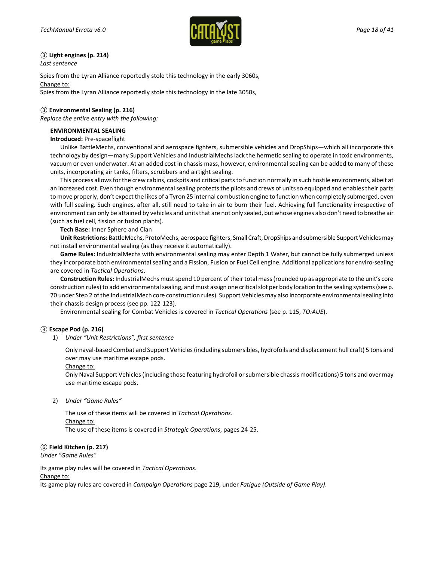

### *③* **Light engines (p. 214)**

*Last sentence*

Spies from the Lyran Alliance reportedly stole this technology in the early 3060s, Change to:

Spies from the Lyran Alliance reportedly stole this technology in the late 3050s,

#### *③* **Environmental Sealing (p. 216)**

*Replace the entire entry with the following:*

#### **ENVIRONMENTAL SEALING**

#### **Introduced:** Pre-spaceflight

Unlike BattleMechs, conventional and aerospace fighters, submersible vehicles and DropShips—which all incorporate this technology by design—many Support Vehicles and IndustrialMechs lack the hermetic sealing to operate in toxic environments, vacuum or even underwater. At an added cost in chassis mass, however, environmental sealing can be added to many of these units, incorporating air tanks, filters, scrubbers and airtight sealing.

This process allows for the crew cabins, cockpits and critical parts to function normally in such hostile environments, albeit at an increased cost. Even though environmental sealing protects the pilots and crews of units so equipped and enables their parts to move properly, don't expect the likes of a Tyron 25 internal combustion engine to function when completely submerged, even with full sealing. Such engines, after all, still need to take in air to burn their fuel. Achieving full functionality irrespective of environment can only be attained by vehicles and units that are not only sealed, but whose engines also don't need to breathe air (such as fuel cell, fission or fusion plants).

**Tech Base:** Inner Sphere and Clan

**Unit Restrictions:** BattleMechs, ProtoMechs, aerospace fighters, Small Craft, DropShips and submersible Support Vehicles may not install environmental sealing (as they receive it automatically).

**Game Rules:** IndustrialMechs with environmental sealing may enter Depth 1 Water, but cannot be fully submerged unless they incorporate both environmental sealing and a Fission, Fusion or Fuel Cell engine. Additional applications for enviro-sealing are covered in *Tactical Operations*.

**Construction Rules:** IndustrialMechs must spend 10 percent of their total mass (rounded up as appropriate to the unit's core construction rules) to add environmental sealing, and must assign one critical slot per body location to the sealing systems (see p. 70 under Step 2 of the IndustrialMech core construction rules). Support Vehicles may also incorporate environmental sealing into their chassis design process (see pp. 122-123).

Environmental sealing for Combat Vehicles is covered in *Tactical Operations* (see p. 115, *TO:AUE*).

#### *③* **Escape Pod (p. 216)**

1) *Under "Unit Restrictions", first sentence*

Only naval-based Combat and Support Vehicles (including submersibles, hydrofoils and displacement hull craft) 5 tons and over may use maritime escape pods.

Change to:

Only Naval Support Vehicles (including those featuring hydrofoil or submersible chassis modifications) 5 tons and over may use maritime escape pods.

2) *Under "Game Rules"*

The use of these items will be covered in *Tactical Operations*. Change to: The use of these items is covered in *Strategic Operations*, pages 24-25.

#### *⑥* **Field Kitchen (p. 217)**

*Under "Game Rules"*

Its game play rules will be covered in *Tactical Operations*.

Change to:

Its game play rules are covered in *Campaign Operations* page 219, under *Fatigue (Outside of Game Play)*.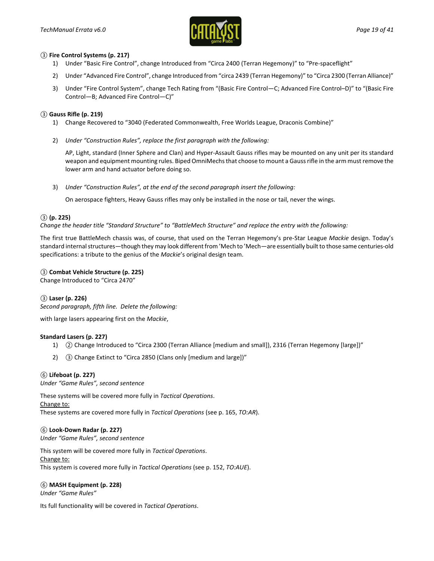

#### *③* **Fire Control Systems (p. 217)**

- 1) Under "Basic Fire Control", change Introduced from "Circa 2400 (Terran Hegemony)" to "Pre-spaceflight"
- 2) Under "Advanced Fire Control", change Introduced from "circa 2439 (Terran Hegemony)" to "Circa 2300 (Terran Alliance)"
- 3) Under "Fire Control System", change Tech Rating from "(Basic Fire Control—C; Advanced Fire Control–D)" to "(Basic Fire Control—B; Advanced Fire Control—C)"

#### *③* **Gauss Rifle (p. 219)**

- 1) Change Recovered to "3040 (Federated Commonwealth, Free Worlds League, Draconis Combine)"
- 2) *Under "Construction Rules", replace the first paragraph with the following:*

AP, Light, standard (Inner Sphere and Clan) and Hyper-Assault Gauss rifles may be mounted on any unit per its standard weapon and equipment mounting rules. Biped OmniMechs that choose to mount a Gauss rifle in the arm must remove the lower arm and hand actuator before doing so.

3) *Under "Construction Rules", at the end of the second paragraph insert the following:*

On aerospace fighters, Heavy Gauss rifles may only be installed in the nose or tail, never the wings.

#### *③* **(p. 225)**

*Change the header title "Standard Structure" to "BattleMech Structure" and replace the entry with the following:*

The first true BattleMech chassis was, of course, that used on the Terran Hegemony's pre-Star League *Mackie* design. Today's standard internal structures—though they may look different from 'Mech to 'Mech—are essentially built to those same centuries-old specifications: a tribute to the genius of the *Mackie*'s original design team.

#### *③* **Combat Vehicle Structure (p. 225)**

Change Introduced to "Circa 2470"

#### *③* **Laser (p. 226)**

*Second paragraph, fifth line. Delete the following:*

with large lasers appearing first on the *Mackie*,

#### **Standard Lasers (p. 227)**

- 1) *②* Change Introduced to "Circa 2300 (Terran Alliance [medium and small]), 2316 (Terran Hegemony [large])"
- 2) *③* Change Extinct to "Circa 2850 (Clans only [medium and large])"

#### *⑥* **Lifeboat (p. 227)**

*Under "Game Rules", second sentence*

These systems will be covered more fully in *Tactical Operations*.

Change to: These systems are covered more fully in *Tactical Operations* (see p. 165, *TO:AR*).

#### *⑥* **Look-Down Radar (p. 227)**

*Under "Game Rules", second sentence*

This system will be covered more fully in *Tactical Operations*. Change to: This system is covered more fully in *Tactical Operations* (see p. 152, *TO:AUE*).

#### *⑥* **MASH Equipment (p. 228)**

*Under "Game Rules"*

Its full functionality will be covered in *Tactical Operations*.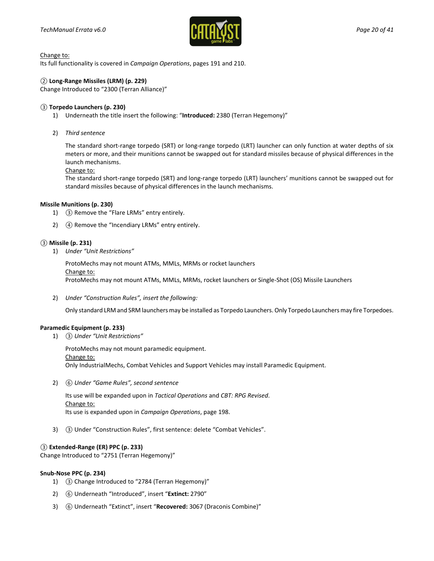

Its full functionality is covered in *Campaign Operations*, pages 191 and 210.

#### *②* **Long-Range Missiles (LRM) (p. 229)**

Change Introduced to "2300 (Terran Alliance)"

#### *③* **Torpedo Launchers (p. 230)**

1) Underneath the title insert the following: "**Introduced:** 2380 (Terran Hegemony)"

#### 2) *Third sentence*

The standard short-range torpedo (SRT) or long-range torpedo (LRT) launcher can only function at water depths of six meters or more, and their munitions cannot be swapped out for standard missiles because of physical differences in the launch mechanisms.

#### Change to:

The standard short-range torpedo (SRT) and long-range torpedo (LRT) launchers' munitions cannot be swapped out for standard missiles because of physical differences in the launch mechanisms.

#### **Missile Munitions (p. 230)**

- 1) *③* Remove the "Flare LRMs" entry entirely.
- 2) *④* Remove the "Incendiary LRMs" entry entirely.

#### *③* **Missile (p. 231)**

1) *Under "Unit Restrictions"*

ProtoMechs may not mount ATMs, MMLs, MRMs or rocket launchers Change to: ProtoMechs may not mount ATMs, MMLs, MRMs, rocket launchers or Single-Shot (OS) Missile Launchers

2) *Under "Construction Rules", insert the following:*

Only standard LRM and SRM launchers may be installed as Torpedo Launchers. Only Torpedo Launchers may fire Torpedoes.

#### **Paramedic Equipment (p. 233)**

1) *③ Under "Unit Restrictions"*

ProtoMechs may not mount paramedic equipment. Change to: Only IndustrialMechs, Combat Vehicles and Support Vehicles may install Paramedic Equipment.

2) *⑥ Under "Game Rules", second sentence*

Its use will be expanded upon in *Tactical Operations* and *CBT: RPG Revised*. Change to: Its use is expanded upon in *Campaign Operations*, page 198.

3) *③* Under "Construction Rules", first sentence: delete "Combat Vehicles".

#### *③* **Extended-Range (ER) PPC (p. 233)**

Change Introduced to "2751 (Terran Hegemony)"

#### **Snub-Nose PPC (p. 234)**

- 1) *③* Change Introduced to "2784 (Terran Hegemony)"
- 2) *⑥* Underneath "Introduced", insert "**Extinct:** 2790"
- 3) *⑥* Underneath "Extinct", insert "**Recovered:** 3067 (Draconis Combine)"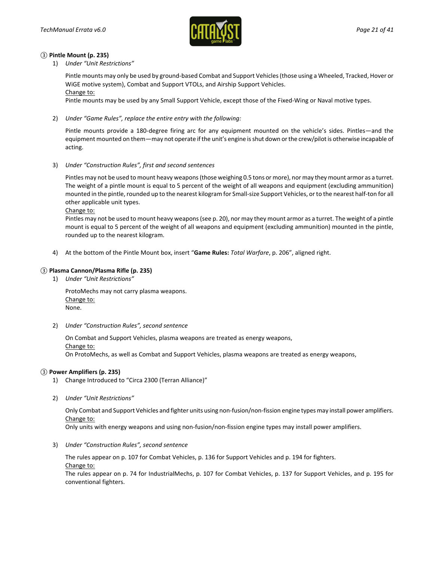

#### *③* **Pintle Mount (p. 235)**

1) *Under "Unit Restrictions"*

Pintle mounts may only be used by ground-based Combat and Support Vehicles (those using a Wheeled, Tracked, Hover or WiGE motive system), Combat and Support VTOLs, and Airship Support Vehicles.

Change to:

Pintle mounts may be used by any Small Support Vehicle, except those of the Fixed-Wing or Naval motive types.

2) *Under "Game Rules", replace the entire entry with the following:*

Pintle mounts provide a 180-degree firing arc for any equipment mounted on the vehicle's sides. Pintles—and the equipment mounted on them—may not operate if the unit's engine is shut down or the crew/pilot is otherwise incapable of acting.

3) *Under "Construction Rules", first and second sentences*

Pintles may not be used to mount heavy weapons (those weighing 0.5 tons or more), nor may they mount armor as a turret. The weight of a pintle mount is equal to 5 percent of the weight of all weapons and equipment (excluding ammunition) mounted in the pintle, rounded up to the nearest kilogram for Small-size Support Vehicles, or to the nearest half-ton for all other applicable unit types.

Change to:

Pintles may not be used to mount heavy weapons (see p. 20), nor may they mount armor as a turret. The weight of a pintle mount is equal to 5 percent of the weight of all weapons and equipment (excluding ammunition) mounted in the pintle, rounded up to the nearest kilogram.

4) At the bottom of the Pintle Mount box, insert "**Game Rules:** *Total Warfare*, p. 206", aligned right.

#### *③* **Plasma Cannon/Plasma Rifle (p. 235)**

1) *Under "Unit Restrictions"*

ProtoMechs may not carry plasma weapons. Change to: None.

2) *Under "Construction Rules", second sentence*

On Combat and Support Vehicles, plasma weapons are treated as energy weapons, Change to: On ProtoMechs, as well as Combat and Support Vehicles, plasma weapons are treated as energy weapons,

#### *③* **Power Amplifiers (p. 235)**

- 1) Change Introduced to "Circa 2300 (Terran Alliance)"
- 2) *Under "Unit Restrictions"*

Only Combat and Support Vehicles and fighter units using non-fusion/non-fission engine types may install power amplifiers. Change to:

Only units with energy weapons and using non-fusion/non-fission engine types may install power amplifiers.

3) *Under "Construction Rules", second sentence*

The rules appear on p. 107 for Combat Vehicles, p. 136 for Support Vehicles and p. 194 for fighters. Change to:

The rules appear on p. 74 for IndustrialMechs, p. 107 for Combat Vehicles, p. 137 for Support Vehicles, and p. 195 for conventional fighters.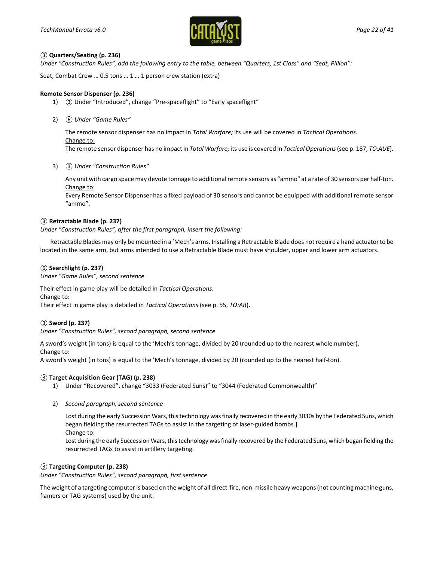

#### *③* **Quarters/Seating (p. 236)**

*Under "Construction Rules", add the following entry to the table, between "Quarters, 1st Class" and "Seat, Pillion":*

Seat, Combat Crew … 0.5 tons … 1 … 1 person crew station (extra)

#### **Remote Sensor Dispenser (p. 236)**

- 1) *③* Under "Introduced", change "Pre-spaceflight" to "Early spaceflight"
- 2) *⑥ Under "Game Rules"*

The remote sensor dispenser has no impact in *Total Warfare;* its use will be covered in *Tactical Operations*. Change to:

The remote sensor dispenser has no impact in *Total Warfare;* its use is covered in *Tactical Operations*(see p. 187, *TO:AUE*).

3) *③ Under "Construction Rules"*

Any unit with cargo space may devote tonnage to additional remote sensors as "ammo" at a rate of 30 sensors per half-ton. Change to:

Every Remote Sensor Dispenser has a fixed payload of 30 sensors and cannot be equipped with additional remote sensor "ammo".

#### *③* **Retractable Blade (p. 237)**

*Under "Construction Rules", after the first paragraph, insert the following:*

Retractable Blades may only be mounted in a 'Mech's arms. Installing a Retractable Blade does not require a hand actuator to be located in the same arm, but arms intended to use a Retractable Blade must have shoulder, upper and lower arm actuators.

#### *⑥* **Searchlight (p. 237)**

*Under "Game Rules", second sentence*

Their effect in game play will be detailed in *Tactical Operations*. Change to: Their effect in game play is detailed in *Tactical Operations* (see p. 55, *TO:AR*).

#### *③* **Sword (p. 237)**

*Under "Construction Rules", second paragraph, second sentence*

A sword's weight (in tons) is equal to the 'Mech's tonnage, divided by 20 (rounded up to the nearest whole number). Change to:

A sword's weight (in tons) is equal to the 'Mech's tonnage, divided by 20 (rounded up to the nearest half-ton).

#### *③* **Target Acquisition Gear (TAG) (p. 238)**

- 1) Under "Recovered", change "3033 (Federated Suns)" to "3044 (Federated Commonwealth)"
- 2) *Second paragraph, second sentence*

Lost during the early Succession Wars, this technology was finally recovered in the early 3030s by the Federated Suns, which began fielding the resurrected TAGs to assist in the targeting of laser-guided bombs.] Change to:

Lost during the early Succession Wars, this technology was finally recovered by the Federated Suns, which began fielding the resurrected TAGs to assist in artillery targeting.

#### *③* **Targeting Computer (p. 238)**

*Under "Construction Rules", second paragraph, first sentence*

The weight of a targeting computer is based on the weight of all direct-fire, non-missile heavy weapons (not counting machine guns, flamers or TAG systems) used by the unit.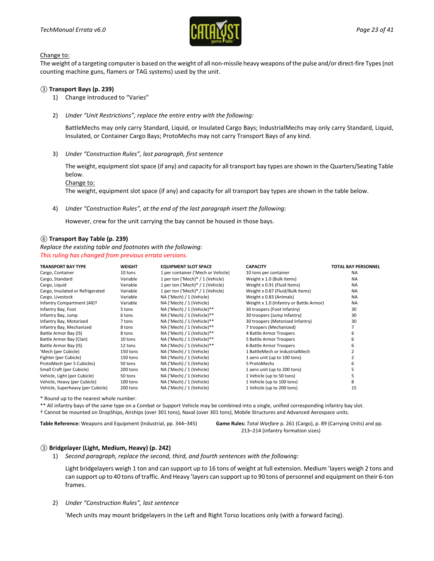

The weight of a targeting computer is based on the weight of all non-missile heavy weapons of the pulse and/or direct-fire Types (not counting machine guns, flamers or TAG systems) used by the unit.

#### *③* **Transport Bays (p. 239)**

- 1) Change Introduced to "Varies"
- 2) *Under "Unit Restrictions", replace the entire entry with the following:*

BattleMechs may only carry Standard, Liquid, or Insulated Cargo Bays; IndustrialMechs may only carry Standard, Liquid, Insulated, or Container Cargo Bays; ProtoMechs may not carry Transport Bays of any kind.

3) *Under "Construction Rules", last paragraph, first sentence*

The weight, equipment slot space (if any) and capacity for all transport bay types are shown in the Quarters/Seating Table below.

Change to:

The weight, equipment slot space (if any) and capacity for all transport bay types are shown in the table below.

4) *Under "Construction Rules", at the end of the last paragraph insert the following:*

However, crew for the unit carrying the bay cannot be housed in those bays.

#### *⑥* **Transport Bay Table (p. 239)**

*Replace the existing table and footnotes with the following: This ruling has changed from previous errata versions.*

| <b>TRANSPORT BAY TYPE</b>         | <b>WEIGHT</b> | <b>EQUIPMENT SLOT SPACE</b>        | <b>CAPACITY</b>                         | <b>TOTAL BAY PERSONNEL</b> |
|-----------------------------------|---------------|------------------------------------|-----------------------------------------|----------------------------|
| Cargo, Container                  | 10 tons       | 1 per container ('Mech or Vehicle) | 10 tons per container                   | <b>NA</b>                  |
| Cargo, Standard                   | Variable      | 1 per ton ('Mech)* / 1 (Vehicle)   | Weight x 1.0 (Bulk Items)               | <b>NA</b>                  |
| Cargo, Liquid                     | Variable      | 1 per ton ('Mech)* / 1 (Vehicle)   | Weight x 0.91 (Fluid Items)             | <b>NA</b>                  |
| Cargo, Insulated or Refrigerated  | Variable      | 1 per ton ('Mech)* / 1 (Vehicle)   | Weight x 0.87 (Fluid/Bulk Items)        | <b>NA</b>                  |
| Cargo, Livestock                  | Variable      | NA ('Mech) / 1 (Vehicle)           | Weight x 0.83 (Animals)                 | <b>NA</b>                  |
| Infantry Compartment (All)+       | Variable      | NA ('Mech) / 1 (Vehicle)           | Weight x 1.0 (Infantry or Battle Armor) | <b>NA</b>                  |
| Infantry Bay, Foot                | 5 tons        | NA ('Mech) / 1 (Vehicle)**         | 30 troopers (Foot Infantry)             | 30                         |
| Infantry Bay, Jump                | 6 tons        | NA ('Mech) / 1 (Vehicle)**         | 30 troopers (Jump Infantry)             | 30                         |
| Infantry Bay, Motorized           | 7 tons        | NA ('Mech) / 1 (Vehicle)**         | 30 troopers (Motorized Infantry)        | 30                         |
| Infantry Bay, Mechanized          | 8 tons        | NA ('Mech) / 1 (Vehicle)**         | 7 troopers (Mechanized)                 |                            |
| Battle Armor Bay (IS)             | 8 tons        | NA ('Mech) / 1 (Vehicle)**         | 4 Battle Armor Troopers                 | 6                          |
| Battle Armor Bay (Clan)           | 10 tons       | NA ('Mech) / 1 (Vehicle)**         | 5 Battle Armor Troopers                 | 6                          |
| Battle Armor Bay (IS)             | 12 tons       | NA ('Mech) / 1 (Vehicle)**         | 6 Battle Armor Troopers                 | 6                          |
| 'Mech (per Cubicle)               | 150 tons      | NA ('Mech) / 1 (Vehicle)           | 1 BattleMech or IndustrialMech          |                            |
| Fighter (per Cubicle)             | 150 tons      | NA ('Mech) / 1 (Vehicle)           | 1 aero unit (up to 100 tons)            |                            |
| ProtoMech (per 5 Cubicles)        | 50 tons       | NA ('Mech) / 1 (Vehicle)           | 5 ProtoMechs                            | 6                          |
| Small Craft (per Cubicle)         | 200 tons      | NA ('Mech) / 1 (Vehicle)           | 1 aero unit (up to 200 tons)            |                            |
| Vehicle, Light (per Cubicle)      | 50 tons       | NA ('Mech) / 1 (Vehicle)           | 1 Vehicle (up to 50 tons)               |                            |
| Vehicle, Heavy (per Cubicle)      | 100 tons      | NA ('Mech) / 1 (Vehicle)           | 1 Vehicle (up to 100 tons)              | 8                          |
| Vehicle, Superheavy (per Cubicle) | 200 tons      | NA ('Mech) / 1 (Vehicle)           | 1 Vehicle (up to 200 tons)              | 15                         |

\* Round up to the nearest whole number.

\*\* All infantry bays of the same type on a Combat or Support Vehicle may be combined into a single, unified corresponding infantry bay slot.

† Cannot be mounted on DropShips, Airships (over 301 tons), Naval (over 301 tons), Mobile Structures and Advanced Aerospace units.

**Table Reference:** Weapons and Equipment (Industrial, pp. 344–345) **Game Rules:** *Total Warfare* p. 261 (Cargo), p. 89 (Carrying Units) and pp.

213–214 (infantry formation sizes)

#### *③* **Bridgelayer (Light, Medium, Heavy) (p. 242)**

1) *Second paragraph, replace the second, third, and fourth sentences with the following:*

Light bridgelayers weigh 1 ton and can support up to 16 tons of weight at full extension. Medium 'layers weigh 2 tons and can support up to 40 tons of traffic. And Heavy 'layers can support up to 90 tons of personnel and equipment on their 6-ton frames.

2) *Under "Construction Rules", last sentence*

'Mech units may mount bridgelayers in the Left and Right Torso locations only (with a forward facing).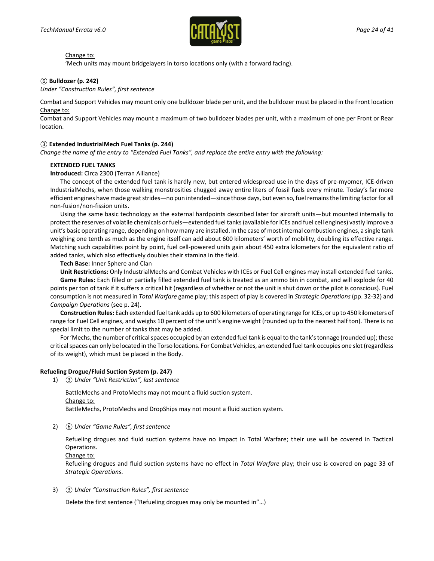

'Mech units may mount bridgelayers in torso locations only (with a forward facing).

#### *⑥* **Bulldozer (p. 242)**

*Under "Construction Rules", first sentence*

Combat and Support Vehicles may mount only one bulldozer blade per unit, and the bulldozer must be placed in the Front location Change to:

Combat and Support Vehicles may mount a maximum of two bulldozer blades per unit, with a maximum of one per Front or Rear location.

#### *③* **Extended IndustrialMech Fuel Tanks (p. 244)**

*Change the name of the entry to "Extended Fuel Tanks", and replace the entire entry with the following:*

#### **EXTENDED FUEL TANKS**

#### **Introduced:** Circa 2300 (Terran Alliance)

The concept of the extended fuel tank is hardly new, but entered widespread use in the days of pre-myomer, ICE-driven IndustrialMechs, when those walking monstrosities chugged away entire liters of fossil fuels every minute. Today's far more efficient engines have made great strides—no pun intended—since those days, but even so, fuel remains the limiting factor for all non-fusion/non-fission units.

Using the same basic technology as the external hardpoints described later for aircraft units—but mounted internally to protect the reserves of volatile chemicals or fuels—extended fuel tanks (available for ICEs and fuel cell engines) vastly improve a unit's basic operating range, depending on how many are installed. In the case of most internal combustion engines, a single tank weighing one tenth as much as the engine itself can add about 600 kilometers' worth of mobility, doubling its effective range. Matching such capabilities point by point, fuel cell-powered units gain about 450 extra kilometers for the equivalent ratio of added tanks, which also effectively doubles their stamina in the field.

**Tech Base:** Inner Sphere and Clan

**Unit Restrictions:** Only IndustrialMechs and Combat Vehicles with ICEs or Fuel Cell engines may install extended fuel tanks. **Game Rules:** Each filled or partially filled extended fuel tank is treated as an ammo bin in combat, and will explode for 40 points per ton of tank if it suffers a critical hit (regardless of whether or not the unit is shut down or the pilot is conscious). Fuel consumption is not measured in *Total Warfare* game play; this aspect of play is covered in *Strategic Operations* (pp. 32-32) and *Campaign Operations* (see p. 24).

**Construction Rules:** Each extended fuel tank adds up to 600 kilometers of operating range for ICEs, or up to 450 kilometers of range for Fuel Cell engines, and weighs 10 percent of the unit's engine weight (rounded up to the nearest half ton). There is no special limit to the number of tanks that may be added.

For 'Mechs, the number of critical spaces occupied by an extended fuel tank is equal to the tank's tonnage (rounded up); these critical spaces can only be located in the Torso locations. For Combat Vehicles, an extended fuel tank occupies one slot (regardless of its weight), which must be placed in the Body.

#### **Refueling Drogue/Fluid Suction System (p. 247)**

1) *③ Under "Unit Restriction", last sentence*

BattleMechs and ProtoMechs may not mount a fluid suction system. Change to: BattleMechs, ProtoMechs and DropShips may not mount a fluid suction system.

2) *⑥ Under "Game Rules", first sentence*

Refueling drogues and fluid suction systems have no impact in Total Warfare; their use will be covered in Tactical Operations.

Change to:

Refueling drogues and fluid suction systems have no effect in *Total Warfare* play; their use is covered on page 33 of *Strategic Operations*.

3) *③ Under "Construction Rules", first sentence*

Delete the first sentence ("Refueling drogues may only be mounted in"…)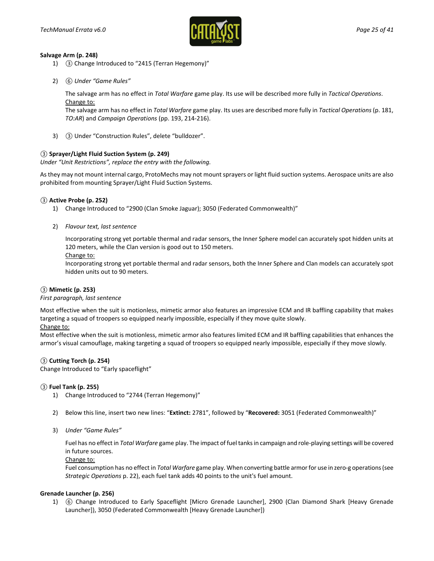

#### **Salvage Arm (p. 248)**

- 1) *③* Change Introduced to "2415 (Terran Hegemony)"
- 2) *⑥ Under "Game Rules"*

The salvage arm has no effect in *Total Warfare* game play. Its use will be described more fully in *Tactical Operations*. Change to:

The salvage arm has no effect in *Total Warfare* game play. Its uses are described more fully in *Tactical Operations* (p. 181, *TO:AR*) and *Campaign Operations* (pp. 193, 214-216).

3) *③* Under "Construction Rules", delete "bulldozer".

#### *③* **Sprayer/Light Fluid Suction System (p. 249)**

*Under "Unit Restrictions", replace the entry with the following.*

As they may not mount internal cargo, ProtoMechs may not mount sprayers or light fluid suction systems. Aerospace units are also prohibited from mounting Sprayer/Light Fluid Suction Systems.

#### *③* **Active Probe (p. 252)**

- 1) Change Introduced to "2900 (Clan Smoke Jaguar); 3050 (Federated Commonwealth)"
- 2) *Flavour text, last sentence*

Incorporating strong yet portable thermal and radar sensors, the Inner Sphere model can accurately spot hidden units at 120 meters, while the Clan version is good out to 150 meters.

#### Change to:

Incorporating strong yet portable thermal and radar sensors, both the Inner Sphere and Clan models can accurately spot hidden units out to 90 meters.

#### *③* **Mimetic (p. 253)**

#### *First paragraph, last sentence*

Most effective when the suit is motionless, mimetic armor also features an impressive ECM and IR baffling capability that makes targeting a squad of troopers so equipped nearly impossible, especially if they move quite slowly.

#### Change to:

Most effective when the suit is motionless, mimetic armor also features limited ECM and IR baffling capabilities that enhances the armor's visual camouflage, making targeting a squad of troopers so equipped nearly impossible, especially if they move slowly.

#### *③* **Cutting Torch (p. 254)**

Change Introduced to "Early spaceflight"

#### *③* **Fuel Tank (p. 255)**

- 1) Change Introduced to "2744 (Terran Hegemony)"
- 2) Below this line, insert two new lines: "**Extinct:** 2781", followed by "**Recovered:** 3051 (Federated Commonwealth)"
- 3) *Under "Game Rules"*

Fuel has no effect in *Total Warfare* game play. The impact of fuel tanks in campaign and role-playing settings will be covered in future sources.

#### Change to:

Fuel consumption has no effect in *Total Warfare* game play. When converting battle armor for use in zero-g operations (see *Strategic Operations* p. 22), each fuel tank adds 40 points to the unit's fuel amount.

#### **Grenade Launcher (p. 256)**

1) *⑥* Change Introduced to Early Spaceflight [Micro Grenade Launcher], 2900 (Clan Diamond Shark [Heavy Grenade Launcher]), 3050 (Federated Commonwealth [Heavy Grenade Launcher])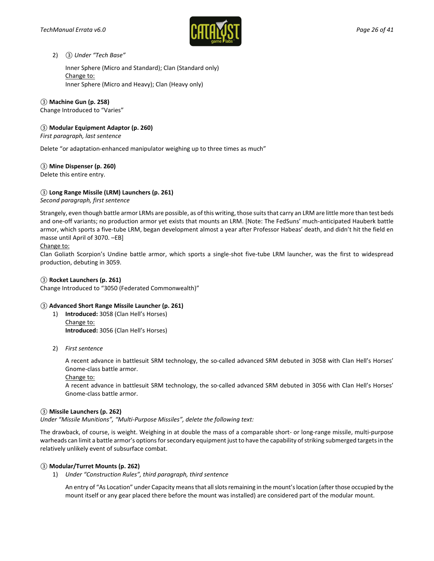

#### 2) *③ Under "Tech Base"*

Inner Sphere (Micro and Standard); Clan (Standard only) Change to: Inner Sphere (Micro and Heavy); Clan (Heavy only)

#### *③* **Machine Gun (p. 258)**

Change Introduced to "Varies"

#### *③* **Modular Equipment Adaptor (p. 260)**

*First paragraph, last sentence*

Delete "or adaptation-enhanced manipulator weighing up to three times as much"

#### *③* **Mine Dispenser (p. 260)**

Delete this entire entry.

#### *③* **Long Range Missile (LRM) Launchers (p. 261)**

*Second paragraph, first sentence*

Strangely, even though battle armor LRMs are possible, as of this writing, those suits that carry an LRM are little more than test beds and one-off variants; no production armor yet exists that mounts an LRM. [Note: The FedSuns' much-anticipated Hauberk battle armor, which sports a five-tube LRM, began development almost a year after Professor Habeas' death, and didn't hit the field en masse until April of 3070. –EB]

#### Change to:

Clan Goliath Scorpion's Undine battle armor, which sports a single-shot five-tube LRM launcher, was the first to widespread production, debuting in 3059.

#### *③* **Rocket Launchers (p. 261)**

Change Introduced to "3050 (Federated Commonwealth)"

#### *③* **Advanced Short Range Missile Launcher (p. 261)**

- 1) **Introduced:** 3058 (Clan Hell's Horses) Change to: **Introduced:** 3056 (Clan Hell's Horses)
- 2) *First sentence*

A recent advance in battlesuit SRM technology, the so-called advanced SRM debuted in 3058 with Clan Hell's Horses' Gnome-class battle armor.

Change to:

A recent advance in battlesuit SRM technology, the so-called advanced SRM debuted in 3056 with Clan Hell's Horses' Gnome-class battle armor.

#### *③* **Missile Launchers (p. 262)**

*Under "Missile Munitions", "Multi-Purpose Missiles", delete the following text:*

The drawback, of course, is weight. Weighing in at double the mass of a comparable short- or long-range missile, multi-purpose warheads can limit a battle armor's options for secondary equipment just to have the capability of striking submerged targets in the relatively unlikely event of subsurface combat.

#### *③* **Modular/Turret Mounts (p. 262)**

1) *Under "Construction Rules", third paragraph, third sentence*

An entry of "As Location" under Capacity means that all slots remaining in the mount's location (after those occupied by the mount itself or any gear placed there before the mount was installed) are considered part of the modular mount.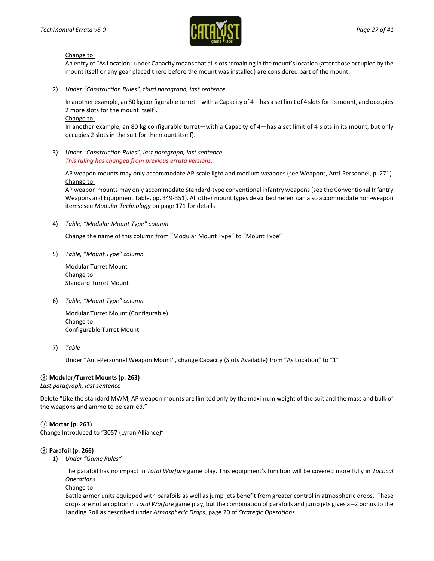

An entry of "As Location" under Capacity means that all slots remaining in the mount's location (after those occupied by the mount itself or any gear placed there before the mount was installed) are considered part of the mount.

2) *Under "Construction Rules", third paragraph, last sentence*

In another example, an 80 kg configurable turret—with a Capacity of 4—has a set limit of 4 slots for its mount, and occupies 2 more slots for the mount itself).

Change to:

In another example, an 80 kg configurable turret—with a Capacity of 4—has a set limit of 4 slots in its mount, but only occupies 2 slots in the suit for the mount itself).

3) *Under "Construction Rules", last paragraph, last sentence This ruling has changed from previous errata versions.*

AP weapon mounts may only accommodate AP-scale light and medium weapons (see Weapons, Anti-Personnel, p. 271). Change to:

AP weapon mounts may only accommodate Standard-type conventional infantry weapons (see the Conventional Infantry Weapons and Equipment Table, pp. 349-351). All other mount types described herein can also accommodate non-weapon items: see *Modular Technology* on page 171 for details.

4) *Table, "Modular Mount Type" column*

Change the name of this column from "Modular Mount Type" to "Mount Type"

5) *Table, "Mount Type" column*

Modular Turret Mount Change to: Standard Turret Mount

6) *Table, "Mount Type" column*

Modular Turret Mount (Configurable) Change to: Configurable Turret Mount

7) *Table*

Under "Anti-Personnel Weapon Mount", change Capacity (Slots Available) from "As Location" to "1"

#### *③* **Modular/Turret Mounts (p. 263)**

*Last paragraph, last sentence*

Delete "Like the standard MWM, AP weapon mounts are limited only by the maximum weight of the suit and the mass and bulk of the weapons and ammo to be carried."

#### *③* **Mortar (p. 263)**

Change Introduced to "3057 (Lyran Alliance)"

#### *③* **Parafoil (p. 266)**

1) *Under "Game Rules"*

The parafoil has no impact in *Total Warfare* game play. This equipment's function will be covered more fully in *Tactical Operations*.

Change to:

Battle armor units equipped with parafoils as well as jump jets benefit from greater control in atmospheric drops. These drops are not an option in *Total Warfare* game play, but the combination of parafoils and jump jets gives a –2 bonus to the Landing Roll as described under *Atmospheric Drops*, page 20 of *Strategic Operations*.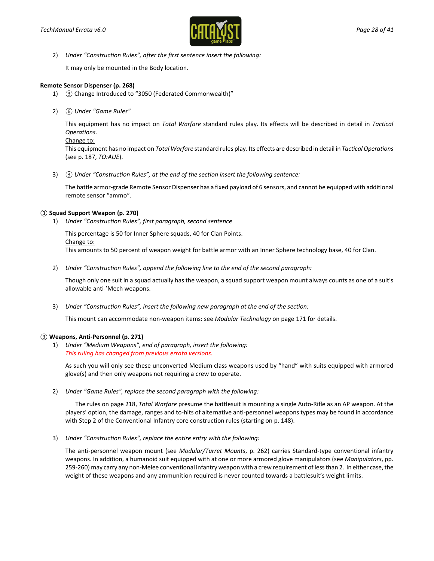

2) *Under "Construction Rules", after the first sentence insert the following:*

It may only be mounted in the Body location.

#### **Remote Sensor Dispenser (p. 268)**

- 1) *③* Change Introduced to "3050 (Federated Commonwealth)"
- 2) *⑥ Under "Game Rules"*

This equipment has no impact on *Total Warfare* standard rules play. Its effects will be described in detail in *Tactical Operations*.

```
Change to:
```
This equipment has no impact on *Total Warfare* standard rules play. Its effects are described in detail in *Tactical Operations* (see p. 187, *TO:AUE*).

3) *③ Under "Construction Rules", at the end of the section insert the following sentence:*

The battle armor-grade Remote Sensor Dispenser has a fixed payload of 6 sensors, and cannot be equipped with additional remote sensor "ammo".

#### *③* **Squad Support Weapon (p. 270)**

1) *Under "Construction Rules", first paragraph, second sentence*

This percentage is 50 for Inner Sphere squads, 40 for Clan Points. Change to: This amounts to 50 percent of weapon weight for battle armor with an Inner Sphere technology base, 40 for Clan.

2) *Under "Construction Rules", append the following line to the end of the second paragraph:*

Though only one suit in a squad actually has the weapon, a squad support weapon mount always counts as one of a suit's allowable anti-'Mech weapons.

3) *Under "Construction Rules", insert the following new paragraph at the end of the section:*

This mount can accommodate non-weapon items: see *Modular Technology* on page 171 for details.

#### *③* **Weapons, Anti-Personnel (p. 271)**

1) *Under "Medium Weapons", end of paragraph, insert the following: This ruling has changed from previous errata versions.*

As such you will only see these unconverted Medium class weapons used by "hand" with suits equipped with armored glove(s) and then only weapons not requiring a crew to operate.

2) *Under "Game Rules", replace the second paragraph with the following:*

The rules on page 218, *Total Warfare* presume the battlesuit is mounting a single Auto-Rifle as an AP weapon. At the players' option, the damage, ranges and to-hits of alternative anti-personnel weapons types may be found in accordance with Step 2 of the Conventional Infantry core construction rules (starting on p. 148).

3) *Under "Construction Rules", replace the entire entry with the following:*

The anti-personnel weapon mount (see *Modular/Turret Mounts*, p. 262) carries Standard-type conventional infantry weapons. In addition, a humanoid suit equipped with at one or more armored glove manipulators (see *Manipulators*, pp. 259-260) may carry any non-Melee conventional infantry weapon with a crew requirement of less than 2. In either case, the weight of these weapons and any ammunition required is never counted towards a battlesuit's weight limits.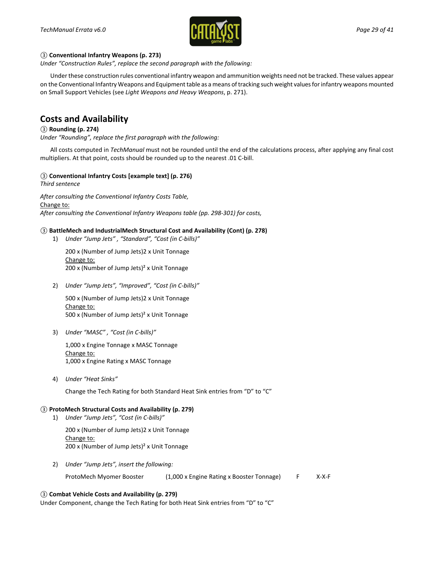

#### *③* **Conventional Infantry Weapons (p. 273)**

*Under "Construction Rules", replace the second paragraph with the following:*

Under these construction rules conventional infantry weapon and ammunition weights need not be tracked. These values appear on the Conventional Infantry Weapons and Equipment table as a means of tracking such weight values for infantry weapons mounted on Small Support Vehicles (see *Light Weapons and Heavy Weapons*, p. 271).

### **Costs and Availability**

#### *③* **Rounding (p. 274)**

*Under "Rounding", replace the first paragraph with the following:*

All costs computed in *TechManual* must not be rounded until the end of the calculations process, after applying any final cost multipliers. At that point, costs should be rounded up to the nearest .01 C-bill.

#### *③* **Conventional Infantry Costs [example text] (p. 276)**

*Third sentence*

*After consulting the Conventional Infantry Costs Table,* Change to: *After consulting the Conventional Infantry Weapons table (pp. 298-301) for costs,*

#### *③* **BattleMech and IndustrialMech Structural Cost and Availability (Cont) (p. 278)**

1) *Under "Jump Jets" , "Standard", "Cost (in C-bills)"*

200 x (Number of Jump Jets)2 x Unit Tonnage Change to: 200 x (Number of Jump Jets)² x Unit Tonnage

2) *Under "Jump Jets", "Improved", "Cost (in C-bills)"*

500 x (Number of Jump Jets)2 x Unit Tonnage Change to: 500 x (Number of Jump Jets)² x Unit Tonnage

3) *Under "MASC" , "Cost (in C-bills)"*

1,000 x Engine Tonnage x MASC Tonnage Change to: 1,000 x Engine Rating x MASC Tonnage

4) *Under "Heat Sinks"*

Change the Tech Rating for both Standard Heat Sink entries from "D" to "C"

#### *③* **ProtoMech Structural Costs and Availability (p. 279)**

1) *Under "Jump Jets", "Cost (in C-bills)"*

200 x (Number of Jump Jets)2 x Unit Tonnage Change to: 200 x (Number of Jump Jets)² x Unit Tonnage

2) *Under "Jump Jets", insert the following:*

ProtoMech Myomer Booster (1,000 x Engine Rating x Booster Tonnage) F X-X-F

#### *③* **Combat Vehicle Costs and Availability (p. 279)**

Under Component, change the Tech Rating for both Heat Sink entries from "D" to "C"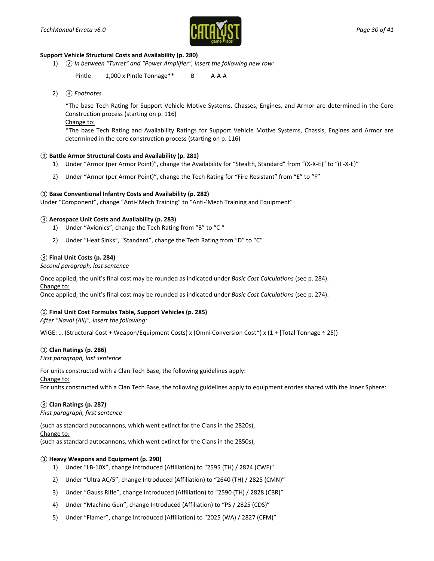

#### **Support Vehicle Structural Costs and Availability (p. 280)**

1) *② In between "Turret" and "Power Amplifier", insert the following new row:*

Pintle 1,000 x Pintle Tonnage<sup>\*\*</sup> B A-A-A

2) *③ Footnotes*

\*The base Tech Rating for Support Vehicle Motive Systems, Chasses, Engines, and Armor are determined in the Core Construction process (starting on p. 116)

Change to:

\*The base Tech Rating and Availability Ratings for Support Vehicle Motive Systems, Chassis, Engines and Armor are determined in the core construction process (starting on p. 116)

#### *③* **Battle Armor Structural Costs and Availability (p. 281)**

- 1) Under "Armor (per Armor Point)", change the Availability for "Stealth, Standard" from "(X-X-E)" to "(F-X-E)"
- 2) Under "Armor (per Armor Point)", change the Tech Rating for "Fire Resistant" from "E" to "F"

#### *③* **Base Conventional Infantry Costs and Availability (p. 282)**

Under "Component", change "Anti-'Mech Training" to "Anti-'Mech Training and Equipment"

#### *③* **Aerospace Unit Costs and Availability (p. 283)**

- 1) Under "Avionics", change the Tech Rating from "B" to "C "
- 2) Under "Heat Sinks", "Standard", change the Tech Rating from "D" to "C"

#### *③* **Final Unit Costs (p. 284)**

*Second paragraph, last sentence*

Once applied, the unit's final cost may be rounded as indicated under *Basic Cost Calculations* (see p. 284). Change to:

Once applied, the unit's final cost may be rounded as indicated under *Basic Cost Calculations* (see p. 274).

#### *⑥* **Final Unit Cost Formulas Table, Support Vehicles (p. 285)**

*After "Naval (All)", insert the following:*

WiGE: … (Structural Cost + Weapon/Equipment Costs) x (Omni Conversion Cost\*) x (1 + [Total Tonnage ÷ 25])

#### *③* **Clan Ratings (p. 286)**

*First paragraph, last sentence*

For units constructed with a Clan Tech Base, the following guidelines apply: Change to:

For units constructed with a Clan Tech Base, the following guidelines apply to equipment entries shared with the Inner Sphere:

#### *③* **Clan Ratings (p. 287)**

*First paragraph, first sentence*

(such as standard autocannons, which went extinct for the Clans in the 2820s), Change to:

(such as standard autocannons, which went extinct for the Clans in the 2850s),

#### *③* **Heavy Weapons and Equipment (p. 290)**

- 1) Under "LB-10X", change Introduced (Affiliation) to "2595 (TH) / 2824 (CWF)"
- 2) Under "Ultra AC/5", change Introduced (Affiliation) to "2640 (TH) / 2825 (CMN)"
- 3) Under "Gauss Rifle", change Introduced (Affiliation) to "2590 (TH) / 2828 (CBR)"
- 4) Under "Machine Gun", change Introduced (Affiliation) to "PS / 2825 (CDS)"
- 5) Under "Flamer", change Introduced (Affiliation) to "2025 (WA) / 2827 (CFM)"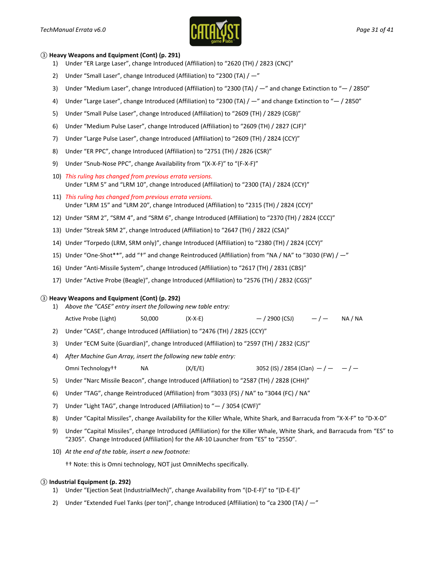

#### *③* **Heavy Weapons and Equipment (Cont) (p. 291)**

- 1) Under "ER Large Laser", change Introduced (Affiliation) to "2620 (TH) / 2823 (CNC)"
- 2) Under "Small Laser", change Introduced (Affiliation) to "2300 (TA)  $/ -$ "
- 3) Under "Medium Laser", change Introduced (Affiliation) to "2300 (TA) / —" and change Extinction to "— / 2850"
- 4) Under "Large Laser", change Introduced (Affiliation) to "2300 (TA) / —" and change Extinction to "— / 2850"
- 5) Under "Small Pulse Laser", change Introduced (Affiliation) to "2609 (TH) / 2829 (CGB)"
- 6) Under "Medium Pulse Laser", change Introduced (Affiliation) to "2609 (TH) / 2827 (CJF)"
- 7) Under "Large Pulse Laser", change Introduced (Affiliation) to "2609 (TH) / 2824 (CCY)"
- 8) Under "ER PPC", change Introduced (Affiliation) to "2751 (TH) / 2826 (CSR)"
- 9) Under "Snub-Nose PPC", change Availability from "(X-X-F)" to "(F-X-F)"
- 10) *This ruling has changed from previous errata versions.* Under "LRM 5" and "LRM 10", change Introduced (Affiliation) to "2300 (TA) / 2824 (CCY)"
- 11) *This ruling has changed from previous errata versions.* Under "LRM 15" and "LRM 20", change Introduced (Affiliation) to "2315 (TH) / 2824 (CCY)"
- 12) Under "SRM 2", "SRM 4", and "SRM 6", change Introduced (Affiliation) to "2370 (TH) / 2824 (CCC)"
- 13) Under "Streak SRM 2", change Introduced (Affiliation) to "2647 (TH) / 2822 (CSA)"
- 14) Under "Torpedo (LRM, SRM only)", change Introduced (Affiliation) to "2380 (TH) / 2824 (CCY)"
- 15) Under "One-Shot\*\*", add "†" and change Reintroduced (Affiliation) from "NA / NA" to "3030 (FW) / —"
- 16) Under "Anti-Missile System", change Introduced (Affiliation) to "2617 (TH) / 2831 (CBS)"
- 17) Under "Active Probe (Beagle)", change Introduced (Affiliation) to "2576 (TH) / 2832 (CGS)"

#### *③* **Heavy Weapons and Equipment (Cont) (p. 292)**

- 1) *Above the "CASE" entry insert the following new table entry:*
- Active Probe (Light)  $50,000$   $(X-X-E)$   $/ 2900$  (CSJ)  $/ -$  NA / NA
- 2) Under "CASE", change Introduced (Affiliation) to "2476 (TH) / 2825 (CCY)"
- 3) Under "ECM Suite (Guardian)", change Introduced (Affiliation) to "2597 (TH) / 2832 (CJS)"
- 4) *After Machine Gun Array, insert the following new table entry:*

Omni Technology†† NA  $(X/E/E)$  3052 (IS) / 2854 (Clan)  $-/ -/-$ 

- 5) Under "Narc Missile Beacon", change Introduced (Affiliation) to "2587 (TH) / 2828 (CHH)"
- 6) Under "TAG", change Reintroduced (Affiliation) from "3033 (FS) / NA" to "3044 (FC) / NA"
- 7) Under "Light TAG", change Introduced (Affiliation) to "— / 3054 (CWF)"
- 8) Under "Capital Missiles", change Availability for the Killer Whale, White Shark, and Barracuda from "X-X-F" to "D-X-D"
- 9) Under "Capital Missiles", change Introduced (Affiliation) for the Killer Whale, White Shark, and Barracuda from "ES" to "2305". Change Introduced (Affiliation) for the AR-10 Launcher from "ES" to "2550".
- 10) *At the end of the table, insert a new footnote:*
	- †† Note: this is Omni technology, NOT just OmniMechs specifically.

#### *③* **Industrial Equipment (p. 292)**

- 1) Under "Ejection Seat (IndustrialMech)", change Availability from "(D-E-F)" to "(D-E-E)"
- 2) Under "Extended Fuel Tanks (per ton)", change Introduced (Affiliation) to "ca 2300 (TA) / —"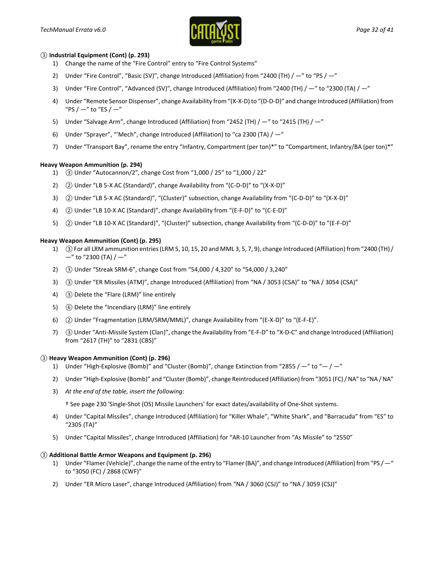

#### *③* **Industrial Equipment (Cont) (p. 293)**

- 1) Change the name of the "Fire Control" entry to "Fire Control Systems"
- 2) Under "Fire Control", "Basic (SV)", change Introduced (Affiliation) from "2400 (TH) / -" to "PS / -"
- 3) Under "Fire Control", "Advanced (SV)", change Introduced (Affiliation) from "2400 (TH) / —" to "2300 (TA) / —"
- 4) Under "Remote Sensor Dispenser", change Availability from "(X-X-D) to "(D-D-D)" and change Introduced (Affiliation) from "PS /  $-$ " to "ES /  $-$ "
- 5) Under "Salvage Arm", change Introduced (Affiliation) from "2452 (TH) / -" to "2415 (TH) / -"
- 6) Under "Sprayer", "'Mech", change Introduced (Affiliation) to "ca 2300 (TA) / —"
- 7) Under "Transport Bay", rename the entry "Infantry, Compartment (per ton)\*" to "Compartment, Infantry/BA (per ton)\*"

#### **Heavy Weapon Ammunition (p. 294)**

- 1) *③* Under "Autocannon/2", change Cost from "1,000 / 25" to "1,000 / 22"
- 2) *②* Under "LB 5-X AC (Standard)", change Availability from "(C-D-D)" to "(X-X-D)"
- 3) *②* Under "LB 5-X AC (Standard)", "(Cluster)" subsection, change Availability from "(C-D-D)" to "(X-X-D)"
- 4) *②* Under "LB 10-X AC (Standard)", change Availability from "(E-F-D)" to "(C-E-D)"
- 5) *②* Under "LB 10-X AC (Standard)", "(Cluster)" subsection, change Availability from "(C-D-D)" to "(E-F-D)"

#### **Heavy Weapon Ammunition (Cont) (p. 295)**

- 1) *③*For all LRM ammunition entries (LRM 5, 10, 15, 20 and MML 3, 5, 7, 9), change Introduced (Affiliation) from "2400 (TH) /  $-$ " to "2300 (TA) /  $-$ "
- 2) *③* Under "Streak SRM-6", change Cost from "54,000 / 4,320" to "54,000 / 3,240"
- 3) *③* Under "ER Missiles (ATM)", change Introduced (Affiliation) from "NA / 3053 (CSA)" to "NA / 3054 (CSA)"
- 4) *③* Delete the "Flare (LRM)" line entirely
- 5) *⑥* Delete the "Incendiary (LRM)" line entirely
- 6) *②* Under "Fragmentation (LRM/SRM/MML)", change Availability from "(E-X-D)" to "(E-F-E)".
- 7) *③* Under "Anti-Missile System (Clan)", change the Availability from "E-F-D" to "X-D-C" and change Introduced (Affiliation) from "2617 (TH)" to "2831 (CBS)"

#### *③* **Heavy Weapon Ammunition (Cont) (p. 296)**

- 1) Under "High-Explosive (Bomb)" and "Cluster (Bomb)", change Extinction from "2855 /  $-$ " to " $-$  /  $-$ "
- 2) Under "High-Explosive (Bomb)" and "Cluster (Bomb)", change Reintroduced (Affiliation) from "3051 (FC) / NA" to "NA / NA"
- 3) *At the end of the table, insert the following:*

† See page 230 'Single-Shot (OS) Missile Launchers' for exact dates/availability of One-Shot systems.

- 4) Under "Capital Missiles", change Introduced (Affiliation) for "Killer Whale", "White Shark", and "Barracuda" from "ES" to "2305 (TA)"
- 5) Under "Capital Missiles", change Introduced (Affiliation) for "AR-10 Launcher from "As Missile" to "2550"

#### *③* **Additional Battle Armor Weapons and Equipment (p. 296)**

- 1) Under "Flamer (Vehicle)", change the name of the entry to "Flamer (BA)", and change Introduced (Affiliation) from "PS / —" to "3050 (FC) / 2868 (CWF)"
- 2) Under "ER Micro Laser", change Introduced (Affiliation) from "NA / 3060 (CSJ)" to "NA / 3059 (CSJ)"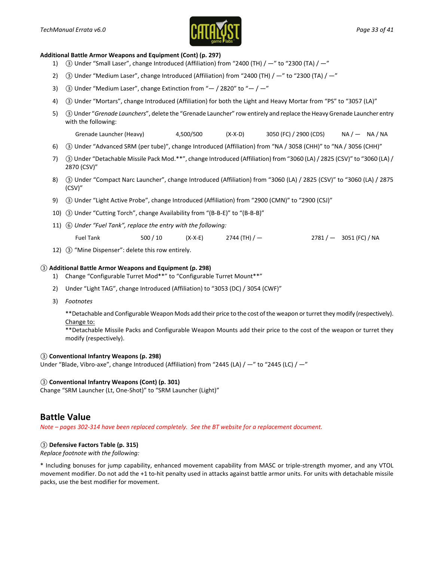

#### **Additional Battle Armor Weapons and Equipment (Cont) (p. 297)**

- 1) *③* Under "Small Laser", change Introduced (Affiliation) from "2400 (TH) / —" to "2300 (TA) / —"
- 2) *③* Under "Medium Laser", change Introduced (Affiliation) from "2400 (TH) / —" to "2300 (TA) / —"
- 3) *③* Under "Medium Laser", change Extinction from "— / 2820" to "— / —"
- 4) *③* Under "Mortars", change Introduced (Affiliation) for both the Light and Heavy Mortar from "PS" to "3057 (LA)"
- 5) *③*Under "*Grenade Launchers*", delete the "Grenade Launcher" row entirely and replace the Heavy Grenade Launcher entry with the following:
	- Grenade Launcher (Heavy)  $4,500/500$  (X-X-D)  $3050$  (FC) / 2900 (CDS) NA /  $-$  NA / NA
- 6) *③* Under "Advanced SRM (per tube)", change Introduced (Affiliation) from "NA / 3058 (CHH)" to "NA / 3056 (CHH)"
- 7) *③* Under "Detachable Missile Pack Mod.\*\*", change Introduced (Affiliation) from "3060 (LA) / 2825 (CSV)" to "3060 (LA) / 2870 (CSV)"
- 8) *③* Under "Compact Narc Launcher", change Introduced (Affiliation) from "3060 (LA) / 2825 (CSV)" to "3060 (LA) / 2875 (CSV)"
- 9) *③* Under "Light Active Probe", change Introduced (Affiliation) from "2900 (CMN)" to "2900 (CSJ)"
- 10) *③* Under "Cutting Torch", change Availability from "(B-B-E)" to "(B-B-B)"
- 11) *⑥ Under "Fuel Tank", replace the entry with the following:*

Fuel Tank 500 / 10 (X-X-E) 2744 (TH) /  $-$  2781 /  $-$  3051 (FC) / NA

12) *③* "Mine Dispenser": delete this row entirely.

#### *③* **Additional Battle Armor Weapons and Equipment (p. 298)**

- 1) Change "Configurable Turret Mod\*\*" to "Configurable Turret Mount\*\*"
- 2) Under "Light TAG", change Introduced (Affiliation) to "3053 (DC) / 3054 (CWF)"
- 3) *Footnotes*

\*\*Detachable and Configurable Weapon Mods add their price to the cost of the weapon or turret they modify (respectively). Change to:

\*\*Detachable Missile Packs and Configurable Weapon Mounts add their price to the cost of the weapon or turret they modify (respectively).

#### *③* **Conventional Infantry Weapons (p. 298)**

Under "Blade, Vibro-axe", change Introduced (Affiliation) from "2445 (LA)  $/ -$ " to "2445 (LC)  $/ -$ "

#### *③* **Conventional Infantry Weapons (Cont) (p. 301)**

Change "SRM Launcher (Lt, One-Shot)" to "SRM Launcher (Light)"

### **Battle Value**

*Note – pages 302-314 have been replaced completely. See the BT website for a replacement document.*

#### *③* **Defensive Factors Table (p. 315)**

*Replace footnote with the following:*

\* Including bonuses for jump capability, enhanced movement capability from MASC or triple-strength myomer, and any VTOL movement modifier. Do not add the +1 to-hit penalty used in attacks against battle armor units. For units with detachable missile packs, use the best modifier for movement.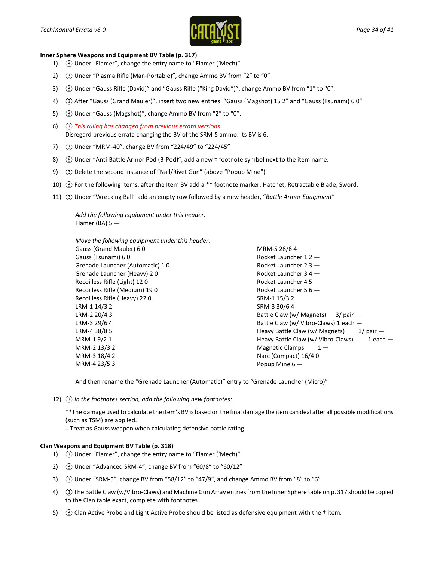

#### **Inner Sphere Weapons and Equipment BV Table (p. 317)**

- 1) *③* Under "Flamer", change the entry name to "Flamer ('Mech)"
- 2) *③* Under "Plasma Rifle (Man-Portable)", change Ammo BV from "2" to "0".
- 3) *③* Under "Gauss Rifle (David)" and "Gauss Rifle ("King David")", change Ammo BV from "1" to "0".
- 4) *③* After "Gauss (Grand Mauler)", insert two new entries: "Gauss (Magshot) 15 2" and "Gauss (Tsunami) 6 0"
- 5) *③* Under "Gauss (Magshot)", change Ammo BV from "2" to "0".
- 6) *③ This ruling has changed from previous errata versions.* Disregard previous errata changing the BV of the SRM-5 ammo. Its BV is 6.
- 7) *③* Under "MRM-40", change BV from "224/49" to "224/45"
- 8) 6 Under "Anti-Battle Armor Pod (B-Pod)", add a new  $\pm$  footnote symbol next to the item name.
- 9) *③* Delete the second instance of "Nail/Rivet Gun" (above "Popup Mine")
- 10) *③* For the following items, after the Item BV add a \*\* footnote marker: Hatchet, Retractable Blade, Sword.
- 11) *③* Under "Wrecking Ball" add an empty row followed by a new header, "*Battle Armor Equipment*"

*Add the following equipment under this header:* Flamer (BA)  $5 -$ 

| Move the following equipment under this header: |                                                    |
|-------------------------------------------------|----------------------------------------------------|
| Gauss (Grand Mauler) 60                         | MRM-5 28/6 4                                       |
| Gauss (Tsunami) 60                              | Rocket Launcher $12 -$                             |
| Grenade Launcher (Automatic) 10                 | Rocket Launcher $23 -$                             |
| Grenade Launcher (Heavy) 20                     | Rocket Launcher $34 -$                             |
| Recoilless Rifle (Light) 120                    | Rocket Launcher $45 -$                             |
| Recoilless Rifle (Medium) 190                   | Rocket Launcher $56 -$                             |
| Recoilless Rifle (Heavy) 220                    | SRM-1 15/3 2                                       |
| LRM-1 14/3 2                                    | SRM-3 30/6 4                                       |
| LRM-2 20/4 3                                    | Battle Claw (w/ Magnets) $3/$ pair $-$             |
| LRM-3 29/6 4                                    | Battle Claw (w/ Vibro-Claws) 1 each -              |
| LRM-4 38/8 5                                    | Heavy Battle Claw (w/ Magnets)<br>$3/$ pair $-$    |
| MRM-19/21                                       | $1$ each $-$<br>Heavy Battle Claw (w/ Vibro-Claws) |
| MRM-2 13/3 2                                    | <b>Magnetic Clamps</b><br>$1 -$                    |
| MRM-3 18/4 2                                    | Narc (Compact) 16/40                               |
| MRM-4 23/5 3                                    | Popup Mine $6-$                                    |

And then rename the "Grenade Launcher (Automatic)" entry to "Grenade Launcher (Micro)"

12) *③ In the footnotes section, add the following new footnotes:*

\*\*The damage used to calculate the item's BV is based on the final damage the item can deal after all possible modifications (such as TSM) are applied.

‡ Treat as Gauss weapon when calculating defensive battle rating.

#### **Clan Weapons and Equipment BV Table (p. 318)**

- 1) *③* Under "Flamer", change the entry name to "Flamer ('Mech)"
- 2) *③* Under "Advanced SRM-4", change BV from "60/8" to "60/12"
- 3) *③* Under "SRM-5", change BV from "58/12" to "47/9", and change Ammo BV from "8" to "6"
- 4) *③*The Battle Claw (w/Vibro-Claws) and Machine Gun Array entries from the Inner Sphere table on p. 317 should be copied to the Clan table exact, complete with footnotes.
- 5) *③* Clan Active Probe and Light Active Probe should be listed as defensive equipment with the † item.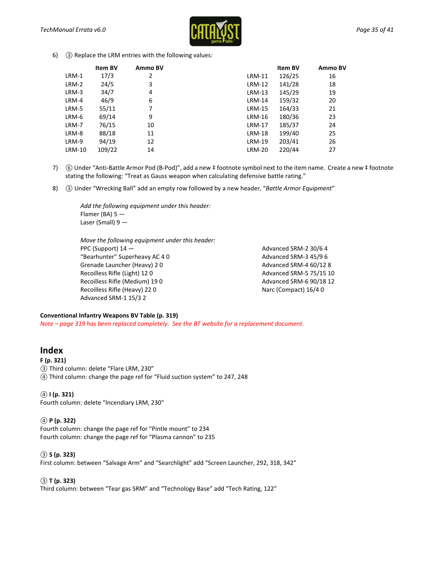

6) *③* Replace the LRM entries with the following values:

|               | <b>Item BV</b> | Ammo BV |               | Item BV | Ammo BV |
|---------------|----------------|---------|---------------|---------|---------|
| LRM-1         | 17/3           | 2       | LRM-11        | 126/25  | 16      |
| LRM-2         | 24/5           | 3       | LRM-12        | 141/28  | 18      |
| LRM-3         | 34/7           | 4       | $LRM-13$      | 145/29  | 19      |
| LRM-4         | 46/9           | 6       | $LRM-14$      | 159/32  | 20      |
| LRM-5         | 55/11          | 7       | <b>LRM-15</b> | 164/33  | 21      |
| LRM-6         | 69/14          | 9       | LRM-16        | 180/36  | 23      |
| LRM-7         | 76/15          | 10      | LRM-17        | 185/37  | 24      |
| LRM-8         | 88/18          | 11      | <b>LRM-18</b> | 199/40  | 25      |
| LRM-9         | 94/19          | 12      | <b>LRM-19</b> | 203/41  | 26      |
| <b>LRM-10</b> | 109/22         | 14      | <b>LRM-20</b> | 220/44  | 27      |

- 7) *⑥* Under "Anti-Battle Armor Pod (B-Pod)", add a new ‡ footnote symbol next to the item name. Create a new ‡ footnote stating the following: "Treat as Gauss weapon when calculating defensive battle rating."
- 8) *③* Under "Wrecking Ball" add an empty row followed by a new header, "*Battle Armor Equipment*"

*Add the following equipment under this header:* Flamer (BA) 5 — Laser (Small) 9 —

*Move the following equipment under this header:* PPC (Support) 14 — "Bearhunter" Superheavy AC 4 0 Grenade Launcher (Heavy) 2 0 Recoilless Rifle (Light) 12 0 Recoilless Rifle (Medium) 19 0 Recoilless Rifle (Heavy) 22 0 Advanced SRM-1 15/3 2

Advanced SRM-2 30/6 4 Advanced SRM-3 45/9 6 Advanced SRM-4 60/12 8 Advanced SRM-5 75/15 10 Advanced SRM-6 90/18 12 Narc (Compact) 16/4 0

#### **Conventional Infantry Weapons BV Table (p. 319)**

*Note – page 319 has been replaced completely. See the BT website for a replacement document.*

### **Index**

#### **F (p. 321)**

*③* Third column: delete "Flare LRM, 230" *④* Third column: change the page ref for "Fluid suction system" to 247, 248

*④* **I (p. 321)**

Fourth column: delete "Incendiary LRM, 230"

#### *④* **P (p. 322)**

Fourth column: change the page ref for "Pintle mount" to 234 Fourth column: change the page ref for "Plasma cannon" to 235

#### *③* **S (p. 323)**

First column: between "Salvage Arm" and "Searchlight" add "Screen Launcher, 292, 318, 342"

#### *③* **T (p. 323)**

Third column: between "Tear gas SRM" and "Technology Base" add "Tech Rating, 122"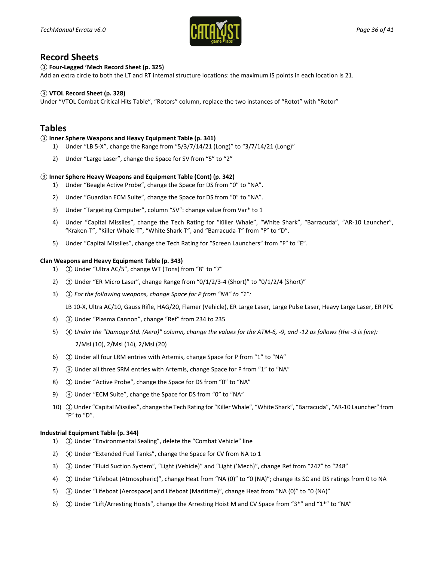

### **Record Sheets**

#### *③* **Four-Legged 'Mech Record Sheet (p. 325)**

Add an extra circle to both the LT and RT internal structure locations: the maximum IS points in each location is 21.

#### *③* **VTOL Record Sheet (p. 328)**

Under "VTOL Combat Critical Hits Table", "Rotors" column, replace the two instances of "Rotot" with "Rotor"

### **Tables**

#### *③* **Inner Sphere Weapons and Heavy Equipment Table (p. 341)**

- 1) Under "LB 5-X", change the Range from "5/3/7/14/21 (Long)" to "3/7/14/21 (Long)"
- 2) Under "Large Laser", change the Space for SV from "5" to "2"

#### *③* **Inner Sphere Heavy Weapons and Equipment Table (Cont) (p. 342)**

- 1) Under "Beagle Active Probe", change the Space for DS from "0" to "NA".
- 2) Under "Guardian ECM Suite", change the Space for DS from "0" to "NA".
- 3) Under "Targeting Computer", column "SV": change value from Var\* to 1
- 4) Under "Capital Missiles", change the Tech Rating for "Killer Whale", "White Shark", "Barracuda", "AR-10 Launcher", "Kraken-T", "Killer Whale-T", "White Shark-T", and "Barracuda-T" from "F" to "D".
- 5) Under "Capital Missiles", change the Tech Rating for "Screen Launchers" from "F" to "E".

#### **Clan Weapons and Heavy Equipment Table (p. 343)**

- 1) *③* Under "Ultra AC/5", change WT (Tons) from "8" to "7"
- 2) *③* Under "ER Micro Laser", change Range from "0/1/2/3-4 (Short)" to "0/1/2/4 (Short)"
- 3) *③ For the following weapons, change Space for P from "NA" to "1":*

LB 10-X, Ultra AC/10, Gauss Rifle, HAG/20, Flamer (Vehicle), ER Large Laser, Large Pulse Laser, Heavy Large Laser, ER PPC

- 4) *③* Under "Plasma Cannon", change "Ref" from 234 to 235
- 5) *④ Under the "Damage Std. (Aero)" column, change the values for the ATM-6, -9, and -12 as follows (the -3 is fine):* 2/Msl (10), 2/Msl (14), 2/Msl (20)
- 6) *③* Under all four LRM entries with Artemis, change Space for P from "1" to "NA"
- 7) *③* Under all three SRM entries with Artemis, change Space for P from "1" to "NA"
- 8) *③* Under "Active Probe", change the Space for DS from "0" to "NA"
- 9) *③* Under "ECM Suite", change the Space for DS from "0" to "NA"
- 10) *③*Under "Capital Missiles", change the Tech Rating for "Killer Whale", "White Shark", "Barracuda", "AR-10 Launcher" from "F" to "D".

#### **Industrial Equipment Table (p. 344)**

- 1) *③* Under "Environmental Sealing", delete the "Combat Vehicle" line
- 2) *④* Under "Extended Fuel Tanks", change the Space for CV from NA to 1
- 3) *③* Under "Fluid Suction System", "Light (Vehicle)" and "Light ('Mech)", change Ref from "247" to "248"
- 4) *③* Under "Lifeboat (Atmospheric)", change Heat from "NA (0)" to "0 (NA)"; change its SC and DS ratings from 0 to NA
- 5) *③* Under "Lifeboat (Aerospace) and Lifeboat (Maritime)", change Heat from "NA (0)" to "0 (NA)"
- 6) *③* Under "Lift/Arresting Hoists", change the Arresting Hoist M and CV Space from "3\*" and "1\*" to "NA"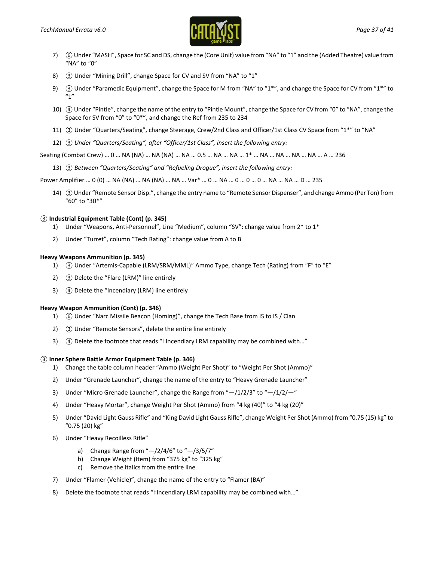

- 7) *⑥*Under "MASH", Space for SC and DS, change the (Core Unit) value from "NA" to "1" and the (Added Theatre) value from "NA" to "0"
- 8) *③* Under "Mining Drill", change Space for CV and SV from "NA" to "1"
- 9) *③* Under "Paramedic Equipment", change the Space for M from "NA" to "1\*", and change the Space for CV from "1\*" to "1"
- 10) *④* Under "Pintle", change the name of the entry to "Pintle Mount", change the Space for CV from "0" to "NA", change the Space for SV from "0" to "0\*", and change the Ref from 235 to 234
- 11) *③* Under "Quarters/Seating", change Steerage, Crew/2nd Class and Officer/1st Class CV Space from "1\*" to "NA"
- 12) *③ Under "Quarters/Seating", after "Officer/1st Class", insert the following entry:*

Seating (Combat Crew) … 0 … NA (NA) … NA (NA) … NA … 0.5 … NA … NA … 1\* … NA … NA … NA … NA … A … 236

13) *③ Between "Quarters/Seating" and "Refueling Drogue", insert the following entry:*

Power Amplifier … 0 (0) … NA (NA) … NA (NA) … NA … Var\* … 0 … NA … 0 … 0 … 0 … NA … NA … D … 235

14) *③*Under "Remote Sensor Disp.", change the entry name to "Remote Sensor Dispenser", and change Ammo (Per Ton) from "60" to "30\*"

#### *③* **Industrial Equipment Table (Cont) (p. 345)**

- 1) Under "Weapons, Anti-Personnel", Line "Medium", column "SV": change value from 2\* to 1\*
- 2) Under "Turret", column "Tech Rating": change value from A to B

#### **Heavy Weapons Ammunition (p. 345)**

- 1) *③* Under "Artemis-Capable (LRM/SRM/MML)" Ammo Type, change Tech (Rating) from "F" to "E"
- 2) *③* Delete the "Flare (LRM)" line entirely
- 3) *④* Delete the "Incendiary (LRM) line entirely

#### **Heavy Weapon Ammunition (Cont) (p. 346)**

- 1) *⑥* Under "Narc Missile Beacon (Homing)", change the Tech Base from IS to IS / Clan
- 2) *③* Under "Remote Sensors", delete the entire line entirely
- 3) *④* Delete the footnote that reads "‡Incendiary LRM capability may be combined with…"

#### *③* **Inner Sphere Battle Armor Equipment Table (p. 346)**

- 1) Change the table column header "Ammo (Weight Per Shot)" to "Weight Per Shot (Ammo)"
- 2) Under "Grenade Launcher", change the name of the entry to "Heavy Grenade Launcher"
- 3) Under "Micro Grenade Launcher", change the Range from  $H/1/2/3$ " to  $H/1/2/4$ "
- 4) Under "Heavy Mortar", change Weight Per Shot (Ammo) from "4 kg (40)" to "4 kg (20)"
- 5) Under "David Light Gauss Rifle" and "King David Light Gauss Rifle", change Weight Per Shot (Ammo) from "0.75 (15) kg" to "0.75 (20) kg"
- 6) Under "Heavy Recoilless Rifle"
	- a) Change Range from  $\frac{m}{2}/2$ /4/6" to  $\frac{m}{2}/3$ /5/7"
	- b) Change Weight (Item) from "375 kg" to "325 kg"
	- c) Remove the italics from the entire line
- 7) Under "Flamer (Vehicle)", change the name of the entry to "Flamer (BA)"
- 8) Delete the footnote that reads "‡Incendiary LRM capability may be combined with…"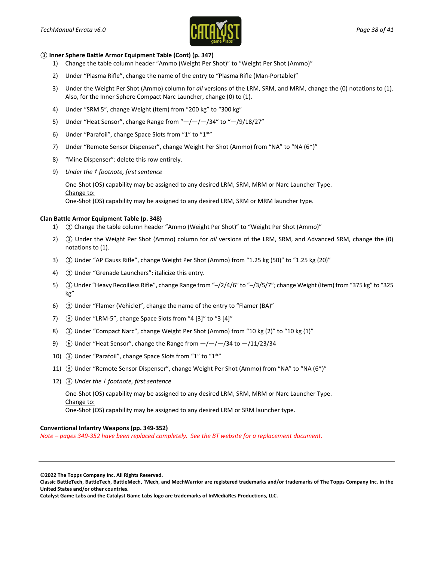

#### *③* **Inner Sphere Battle Armor Equipment Table (Cont) (p. 347)**

- 1) Change the table column header "Ammo (Weight Per Shot)" to "Weight Per Shot (Ammo)"
- 2) Under "Plasma Rifle", change the name of the entry to "Plasma Rifle (Man-Portable)"
- 3) Under the Weight Per Shot (Ammo) column for *all* versions of the LRM, SRM, and MRM, change the (0) notations to (1). Also, for the Inner Sphere Compact Narc Launcher, change (0) to (1).
- 4) Under "SRM 5", change Weight (Item) from "200 kg" to "300 kg"
- 5) Under "Heat Sensor", change Range from  $H$  -/-/-/34" to  $H$  -/9/18/27"
- 6) Under "Parafoil", change Space Slots from "1" to "1\*"
- 7) Under "Remote Sensor Dispenser", change Weight Per Shot (Ammo) from "NA" to "NA (6\*)"
- 8) "Mine Dispenser": delete this row entirely.
- 9) *Under the † footnote, first sentence*

One-Shot (OS) capability may be assigned to any desired LRM, SRM, MRM or Narc Launcher Type. Change to: One-Shot (OS) capability may be assigned to any desired LRM, SRM or MRM launcher type.

#### **Clan Battle Armor Equipment Table (p. 348)**

- 1) *③* Change the table column header "Ammo (Weight Per Shot)" to "Weight Per Shot (Ammo)"
- 2) *③* Under the Weight Per Shot (Ammo) column for *all* versions of the LRM, SRM, and Advanced SRM, change the (0) notations to (1).
- 3) *③* Under "AP Gauss Rifle", change Weight Per Shot (Ammo) from "1.25 kg (50)" to "1.25 kg (20)"
- 4) *③* Under "Grenade Launchers": italicize this entry.
- 5) *③*Under "Heavy Recoilless Rifle", change Range from "–/2/4/6" to "–/3/5/7"; change Weight (Item) from "375 kg" to "325 kg"
- 6) *③* Under "Flamer (Vehicle)", change the name of the entry to "Flamer (BA)"
- 7) *③* Under "LRM-5", change Space Slots from "4 [3]" to "3 [4]"
- 8) *③* Under "Compact Narc", change Weight Per Shot (Ammo) from "10 kg (2)" to "10 kg (1)"
- 9) *⑥* Under "Heat Sensor", change the Range from —/—/—/34 to —/11/23/34
- 10) *③* Under "Parafoil", change Space Slots from "1" to "1\*"
- 11) *③* Under "Remote Sensor Dispenser", change Weight Per Shot (Ammo) from "NA" to "NA (6\*)"
- 12) *③ Under the † footnote, first sentence*

One-Shot (OS) capability may be assigned to any desired LRM, SRM, MRM or Narc Launcher Type. Change to:

One-Shot (OS) capability may be assigned to any desired LRM or SRM launcher type.

#### **Conventional Infantry Weapons (pp. 349-352)**

*Note – pages 349-352 have been replaced completely. See the BT website for a replacement document.*

**<sup>©2022</sup> The Topps Company Inc. All Rights Reserved.**

**Classic BattleTech, BattleTech, BattleMech, 'Mech, and MechWarrior are registered trademarks and/or trademarks of The Topps Company Inc. in the United States and/or other countries.**

**Catalyst Game Labs and the Catalyst Game Labs logo are trademarks of InMediaRes Productions, LLC.**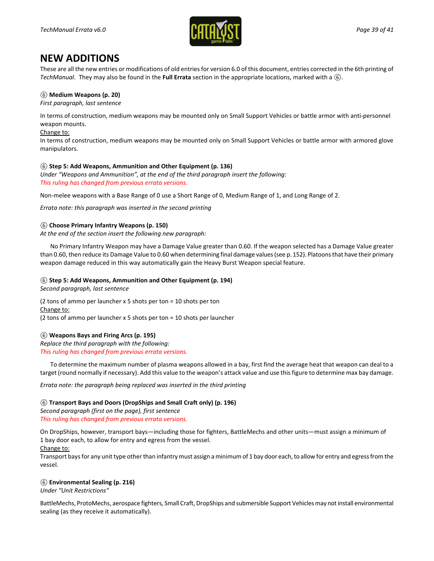

### **NEW ADDITIONS**

These are all the new entries or modifications of old entries for version 6.0 of this document, entries corrected in the 6th printing of *TechManual*. They may also be found in the **Full Errata** section in the appropriate locations, marked with a *⑥*.

#### *⑥* **Medium Weapons (p. 20)**

*First paragraph, last sentence*

In terms of construction, medium weapons may be mounted only on Small Support Vehicles or battle armor with anti-personnel weapon mounts.

#### Change to:

In terms of construction, medium weapons may be mounted only on Small Support Vehicles or battle armor with armored glove manipulators.

#### *⑥* **Step 5: Add Weapons, Ammunition and Other Equipment (p. 136)**

*Under "Weapons and Ammunition", at the end of the third paragraph insert the following: This ruling has changed from previous errata versions.*

Non-melee weapons with a Base Range of 0 use a Short Range of 0, Medium Range of 1, and Long Range of 2.

*Errata note: this paragraph was inserted in the second printing*

#### *⑥* **Choose Primary Infantry Weapons (p. 150)**

*At the end of the section insert the following new paragraph:*

No Primary Infantry Weapon may have a Damage Value greater than 0.60. If the weapon selected has a Damage Value greater than 0.60, then reduce its Damage Value to 0.60 when determining final damage values (see p. 152). Platoons that have their primary weapon damage reduced in this way automatically gain the Heavy Burst Weapon special feature.

#### *⑥* **Step 5: Add Weapons, Ammunition and Other Equipment (p. 194)**

*Second paragraph, last sentence*

(2 tons of ammo per launcher x 5 shots per ton = 10 shots per ton Change to: (2 tons of ammo per launcher x 5 shots per ton = 10 shots per launcher

#### *⑥* **Weapons Bays and Firing Arcs (p. 195)**

*Replace the third paragraph with the following: This ruling has changed from previous errata versions.*

To determine the maximum number of plasma weapons allowed in a bay, first find the average heat that weapon can deal to a target (round normally if necessary). Add this value to the weapon's attack value and use this figure to determine max bay damage.

*Errata note: the paragraph being replaced was inserted in the third printing*

#### *⑥* **Transport Bays and Doors (DropShips and Small Craft only) (p. 196)**

*Second paragraph (first on the page), first sentence This ruling has changed from previous errata versions.*

On DropShips, however, transport bays—including those for fighters, BattleMechs and other units—must assign a minimum of 1 bay door each, to allow for entry and egress from the vessel.

#### Change to:

Transport baysfor any unit type other than infantry must assign a minimum of 1 bay door each, to allow for entry and egress from the vessel.

#### *⑥* **Environmental Sealing (p. 216)**

*Under "Unit Restrictions"*

BattleMechs, ProtoMechs, aerospace fighters, Small Craft, DropShips and submersible Support Vehicles may not install environmental sealing (as they receive it automatically).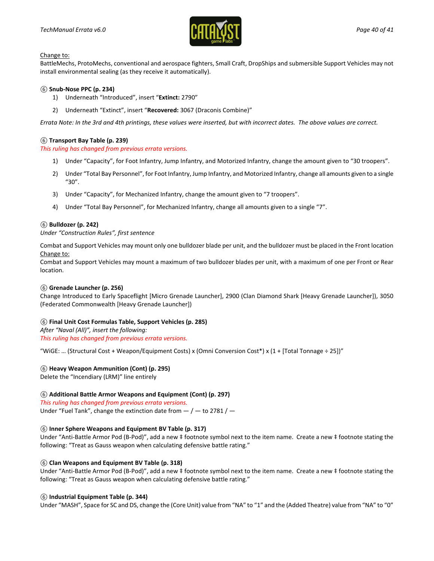

BattleMechs, ProtoMechs, conventional and aerospace fighters, Small Craft, DropShips and submersible Support Vehicles may not install environmental sealing (as they receive it automatically).

#### *⑥* **Snub-Nose PPC (p. 234)**

- 1) Underneath "Introduced", insert "**Extinct:** 2790"
- 2) Underneath "Extinct", insert "**Recovered:** 3067 (Draconis Combine)"

*Errata Note: In the 3rd and 4th printings, these values were inserted, but with incorrect dates. The above values are correct.*

#### *⑥* **Transport Bay Table (p. 239)**

*This ruling has changed from previous errata versions.*

- 1) Under "Capacity", for Foot Infantry, Jump Infantry, and Motorized Infantry, change the amount given to "30 troopers".
- 2) Under "Total Bay Personnel", for Foot Infantry, Jump Infantry, and Motorized Infantry, change all amounts given to a single "30".
- 3) Under "Capacity", for Mechanized Infantry, change the amount given to "7 troopers".
- 4) Under "Total Bay Personnel", for Mechanized Infantry, change all amounts given to a single "7".

#### *⑥* **Bulldozer (p. 242)**

*Under "Construction Rules", first sentence*

Combat and Support Vehicles may mount only one bulldozer blade per unit, and the bulldozer must be placed in the Front location Change to:

Combat and Support Vehicles may mount a maximum of two bulldozer blades per unit, with a maximum of one per Front or Rear location.

#### *⑥* **Grenade Launcher (p. 256)**

Change Introduced to Early Spaceflight [Micro Grenade Launcher], 2900 (Clan Diamond Shark [Heavy Grenade Launcher]), 3050 (Federated Commonwealth [Heavy Grenade Launcher])

#### *⑥* **Final Unit Cost Formulas Table, Support Vehicles (p. 285)**

*After "Naval (All)", insert the following: This ruling has changed from previous errata versions.*

"WiGE: … (Structural Cost + Weapon/Equipment Costs) x (Omni Conversion Cost\*) x (1 + [Total Tonnage ÷ 25])"

#### *⑥* **Heavy Weapon Ammunition (Cont) (p. 295)**

Delete the "Incendiary (LRM)" line entirely

#### *⑥* **Additional Battle Armor Weapons and Equipment (Cont) (p. 297)**

*This ruling has changed from previous errata versions.* Under "Fuel Tank", change the extinction date from  $-/-$  to 2781 /  $-$ 

#### *⑥* **Inner Sphere Weapons and Equipment BV Table (p. 317)**

Under "Anti-Battle Armor Pod (B-Pod)", add a new ‡ footnote symbol next to the item name. Create a new ‡ footnote stating the following: "Treat as Gauss weapon when calculating defensive battle rating."

#### *⑥* **Clan Weapons and Equipment BV Table (p. 318)**

Under "Anti-Battle Armor Pod (B-Pod)", add a new ‡ footnote symbol next to the item name. Create a new ‡ footnote stating the following: "Treat as Gauss weapon when calculating defensive battle rating."

#### *⑥* **Industrial Equipment Table (p. 344)**

Under "MASH", Space for SC and DS, change the (Core Unit) value from "NA" to "1" and the (Added Theatre) value from "NA" to "0"